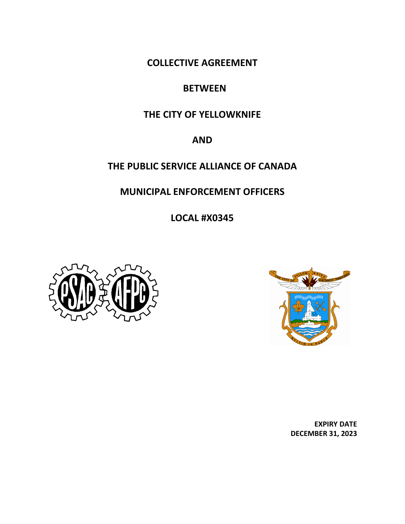**COLLECTIVE AGREEMENT**

## **BETWEEN**

## **THE CITY OF YELLOWKNIFE**

## **AND**

## **THE PUBLIC SERVICE ALLIANCE OF CANADA**

## **MUNICIPAL ENFORCEMENT OFFICERS**

**LOCAL #X0345**





 **EXPIRY DATE DECEMBER 31, 2023**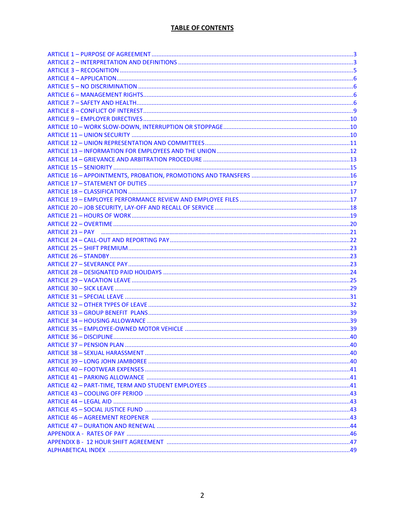| ARTICLE 23 – PAY www.alian.com/announcement/communications/communications/communications/communications/21 |  |
|------------------------------------------------------------------------------------------------------------|--|
|                                                                                                            |  |
|                                                                                                            |  |
|                                                                                                            |  |
|                                                                                                            |  |
|                                                                                                            |  |
|                                                                                                            |  |
|                                                                                                            |  |
|                                                                                                            |  |
|                                                                                                            |  |
|                                                                                                            |  |
|                                                                                                            |  |
|                                                                                                            |  |
|                                                                                                            |  |
|                                                                                                            |  |
|                                                                                                            |  |
|                                                                                                            |  |
|                                                                                                            |  |
|                                                                                                            |  |
|                                                                                                            |  |
|                                                                                                            |  |
|                                                                                                            |  |
|                                                                                                            |  |
|                                                                                                            |  |
|                                                                                                            |  |
|                                                                                                            |  |
|                                                                                                            |  |
|                                                                                                            |  |
|                                                                                                            |  |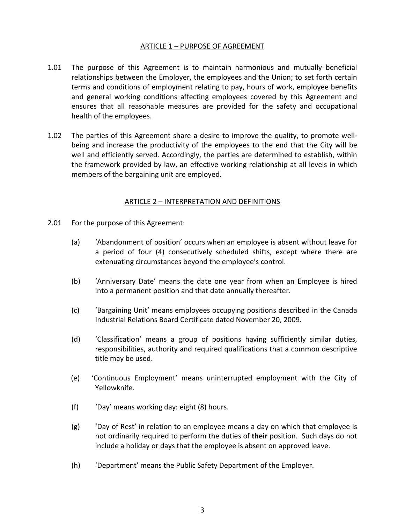#### ARTICLE 1 – PURPOSE OF AGREEMENT

- 1.01 The purpose of this Agreement is to maintain harmonious and mutually beneficial relationships between the Employer, the employees and the Union; to set forth certain terms and conditions of employment relating to pay, hours of work, employee benefits and general working conditions affecting employees covered by this Agreement and ensures that all reasonable measures are provided for the safety and occupational health of the employees.
- 1.02 The parties of this Agreement share a desire to improve the quality, to promote wellbeing and increase the productivity of the employees to the end that the City will be well and efficiently served. Accordingly, the parties are determined to establish, within the framework provided by law, an effective working relationship at all levels in which members of the bargaining unit are employed.

#### ARTICLE 2 – INTERPRETATION AND DEFINITIONS

- 2.01 For the purpose of this Agreement:
	- (a) 'Abandonment of position' occurs when an employee is absent without leave for a period of four (4) consecutively scheduled shifts, except where there are extenuating circumstances beyond the employee's control.
	- (b) 'Anniversary Date' means the date one year from when an Employee is hired into a permanent position and that date annually thereafter.
	- (c) 'Bargaining Unit' means employees occupying positions described in the Canada Industrial Relations Board Certificate dated November 20, 2009.
	- (d) 'Classification' means a group of positions having sufficiently similar duties, responsibilities, authority and required qualifications that a common descriptive title may be used.
	- (e) 'Continuous Employment' means uninterrupted employment with the City of Yellowknife.
	- (f) 'Day' means working day: eight (8) hours.
	- (g) 'Day of Rest' in relation to an employee means a day on which that employee is not ordinarily required to perform the duties of **their** position. Such days do not include a holiday or days that the employee is absent on approved leave.
	- (h) 'Department' means the Public Safety Department of the Employer.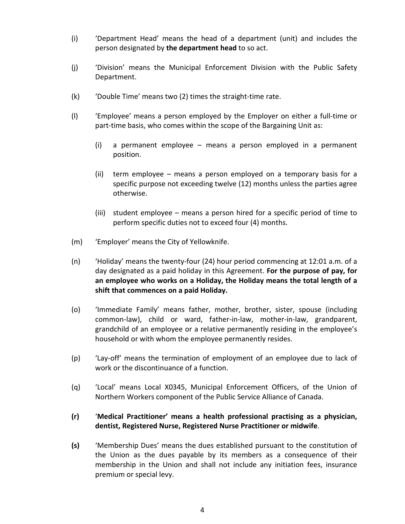- (i) 'Department Head' means the head of a department (unit) and includes the person designated by **the department head** to so act.
- (j) 'Division' means the Municipal Enforcement Division with the Public Safety Department.
- (k) 'Double Time' means two (2) times the straight-time rate.
- (l) 'Employee' means a person employed by the Employer on either a full-time or part-time basis, who comes within the scope of the Bargaining Unit as:
	- (i) a permanent employee means a person employed in a permanent position.
	- (ii) term employee means a person employed on a temporary basis for a specific purpose not exceeding twelve (12) months unless the parties agree otherwise.
	- (iii) student employee means a person hired for a specific period of time to perform specific duties not to exceed four (4) months.
- (m) 'Employer' means the City of Yellowknife.
- (n) 'Holiday' means the twenty-four (24) hour period commencing at 12:01 a.m. of a day designated as a paid holiday in this Agreement. **For the purpose of pay, for an employee who works on a Holiday, the Holiday means the total length of a shift that commences on a paid Holiday.**
- (o) 'Immediate Family' means father, mother, brother, sister, spouse (including common-law), child or ward, father-in-law, mother-in-law, grandparent, grandchild of an employee or a relative permanently residing in the employee's household or with whom the employee permanently resides.
- (p) 'Lay-off' means the termination of employment of an employee due to lack of work or the discontinuance of a function.
- (q) 'Local' means Local X0345, Municipal Enforcement Officers, of the Union of Northern Workers component of the Public Service Alliance of Canada.
- **(r)** '**Medical Practitioner' means a health professional practising as a physician, dentist, Registered Nurse, Registered Nurse Practitioner or midwife**.
- **(s)** 'Membership Dues' means the dues established pursuant to the constitution of the Union as the dues payable by its members as a consequence of their membership in the Union and shall not include any initiation fees, insurance premium or special levy.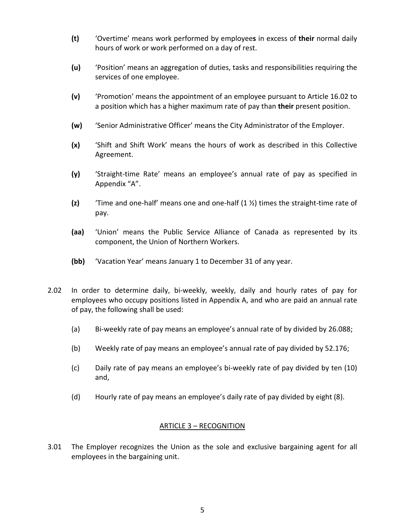- **(t)** 'Overtime' means work performed by employee**s** in excess of **their** normal daily hours of work or work performed on a day of rest.
- **(u)** 'Position' means an aggregation of duties, tasks and responsibilities requiring the services of one employee.
- **(v)** 'Promotion' means the appointment of an employee pursuant to Article 16.02 to a position which has a higher maximum rate of pay than **their** present position.
- **(w)** 'Senior Administrative Officer' means the City Administrator of the Employer.
- **(x)** 'Shift and Shift Work' means the hours of work as described in this Collective Agreement.
- **(y)** 'Straight-time Rate' means an employee's annual rate of pay as specified in Appendix "A".
- **(z)** 'Time and one-half' means one and one-half (1 ½) times the straight-time rate of pay.
- **(aa)** 'Union' means the Public Service Alliance of Canada as represented by its component, the Union of Northern Workers.
- **(bb)** 'Vacation Year' means January 1 to December 31 of any year.
- 2.02 In order to determine daily, bi-weekly, weekly, daily and hourly rates of pay for employees who occupy positions listed in Appendix A, and who are paid an annual rate of pay, the following shall be used:
	- (a) Bi-weekly rate of pay means an employee's annual rate of by divided by 26.088;
	- (b) Weekly rate of pay means an employee's annual rate of pay divided by 52.176;
	- (c) Daily rate of pay means an employee's bi-weekly rate of pay divided by ten (10) and,
	- (d) Hourly rate of pay means an employee's daily rate of pay divided by eight (8).

#### ARTICLE 3 – RECOGNITION

3.01 The Employer recognizes the Union as the sole and exclusive bargaining agent for all employees in the bargaining unit.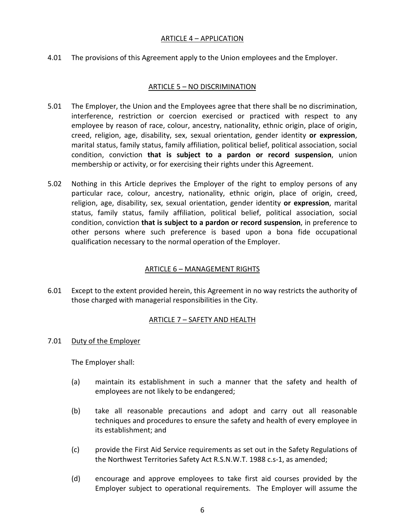#### ARTICLE 4 – APPLICATION

4.01 The provisions of this Agreement apply to the Union employees and the Employer.

#### ARTICLE 5 – NO DISCRIMINATION

- 5.01 The Employer, the Union and the Employees agree that there shall be no discrimination, interference, restriction or coercion exercised or practiced with respect to any employee by reason of race, colour, ancestry, nationality, ethnic origin, place of origin, creed, religion, age, disability, sex, sexual orientation, gender identity **or expression**, marital status, family status, family affiliation, political belief, political association, social condition, conviction **that is subject to a pardon or record suspension**, union membership or activity, or for exercising their rights under this Agreement.
- 5.02 Nothing in this Article deprives the Employer of the right to employ persons of any particular race, colour, ancestry, nationality, ethnic origin, place of origin, creed, religion, age, disability, sex, sexual orientation, gender identity **or expression**, marital status, family status, family affiliation, political belief, political association, social condition, conviction **that is subject to a pardon or record suspension**, in preference to other persons where such preference is based upon a bona fide occupational qualification necessary to the normal operation of the Employer.

#### ARTICLE 6 – MANAGEMENT RIGHTS

6.01 Except to the extent provided herein, this Agreement in no way restricts the authority of those charged with managerial responsibilities in the City.

#### ARTICLE 7 – SAFETY AND HEALTH

7.01 Duty of the Employer

The Employer shall:

- (a) maintain its establishment in such a manner that the safety and health of employees are not likely to be endangered;
- (b) take all reasonable precautions and adopt and carry out all reasonable techniques and procedures to ensure the safety and health of every employee in its establishment; and
- (c) provide the First Aid Service requirements as set out in the Safety Regulations of the Northwest Territories Safety Act R.S.N.W.T. 1988 c.s-1, as amended;
- (d) encourage and approve employees to take first aid courses provided by the Employer subject to operational requirements. The Employer will assume the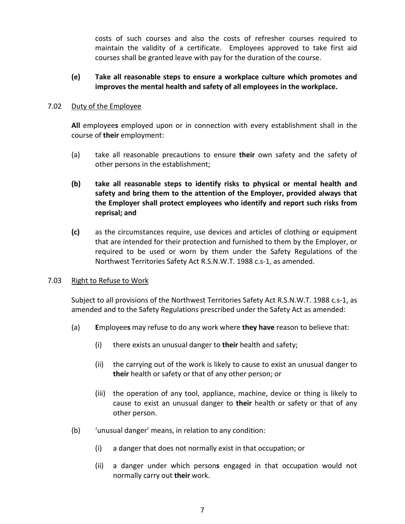costs of such courses and also the costs of refresher courses required to maintain the validity of a certificate. Employees approved to take first aid courses shall be granted leave with pay for the duration of the course.

#### **(e) Take all reasonable steps to ensure a workplace culture which promotes and improves the mental health and safety of all employees in the workplace.**

#### 7.02 Duty of the Employee

**All** employee**s** employed upon or in connection with every establishment shall in the course of **their** employment:

- (a) take all reasonable precautions to ensure **their** own safety and the safety of other persons in the establishment;
- **(b) take all reasonable steps to identify risks to physical or mental health and safety and bring them to the attention of the Employer, provided always that the Employer shall protect employees who identify and report such risks from reprisal; and**
- **(c)** as the circumstances require, use devices and articles of clothing or equipment that are intended for their protection and furnished to them by the Employer, or required to be used or worn by them under the Safety Regulations of the Northwest Territories Safety Act R.S.N.W.T. 1988 c.s-1, as amended.

#### 7.03 Right to Refuse to Work

Subject to all provisions of the Northwest Territories Safety Act R.S.N.W.T. 1988 c.s-1, as amended and to the Safety Regulations prescribed under the Safety Act as amended:

- (a) **E**mployee**s** may refuse to do any work where **they have** reason to believe that:
	- (i) there exists an unusual danger to **their** health and safety;
	- (ii) the carrying out of the work is likely to cause to exist an unusual danger to **their** health or safety or that of any other person; or
	- (iii) the operation of any tool, appliance, machine, device or thing is likely to cause to exist an unusual danger to **their** health or safety or that of any other person.
- (b) 'unusual danger' means, in relation to any condition:
	- (i) a danger that does not normally exist in that occupation; or
	- (ii) a danger under which person**s** engaged in that occupation would not normally carry out **their** work.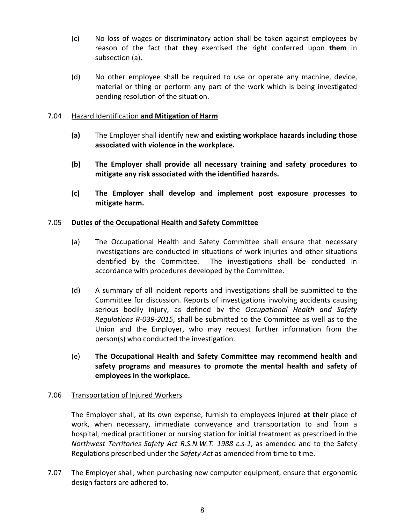- (c) No loss of wages or discriminatory action shall be taken against employee**s** by reason of the fact that **they** exercised the right conferred upon **them** in subsection (a).
- (d) No other employee shall be required to use or operate any machine, device, material or thing or perform any part of the work which is being investigated pending resolution of the situation.

#### 7.04 Hazard Identification **and Mitigation of Harm**

- **(a)** The Employer shall identify new **and existing workplace hazards including those associated with violence in the workplace.**
- **(b) The Employer shall provide all necessary training and safety procedures to mitigate any risk associated with the identified hazards.**
- **(c) The Employer shall develop and implement post exposure processes to mitigate harm.**

#### 7.05 **Duties of the Occupational Health and Safety Committee**

- (a) The Occupational Health and Safety Committee shall ensure that necessary investigations are conducted in situations of work injuries and other situations identified by the Committee. The investigations shall be conducted in accordance with procedures developed by the Committee.
- (d) A summary of all incident reports and investigations shall be submitted to the Committee for discussion. Reports of investigations involving accidents causing serious bodily injury, as defined by the *Occupational Health and Safety Regulations R-039-2015*, shall be submitted to the Committee as well as to the Union and the Employer, who may request further information from the person(s) who conducted the investigation.
- (e) **The Occupational Health and Safety Committee may recommend health and safety programs and measures to promote the mental health and safety of employees in the workplace.**

#### 7.06 Transportation of Injured Workers

The Employer shall, at its own expense, furnish to employee**s** injured **at their** place of work, when necessary, immediate conveyance and transportation to and from a hospital, medical practitioner or nursing station for initial treatment as prescribed in the *Northwest Territories Safety Act R.S.N.W.T. 1988 c.s-1*, as amended and to the Safety Regulations prescribed under the *Safety Act* as amended from time to time.

7.07 The Employer shall, when purchasing new computer equipment, ensure that ergonomic design factors are adhered to.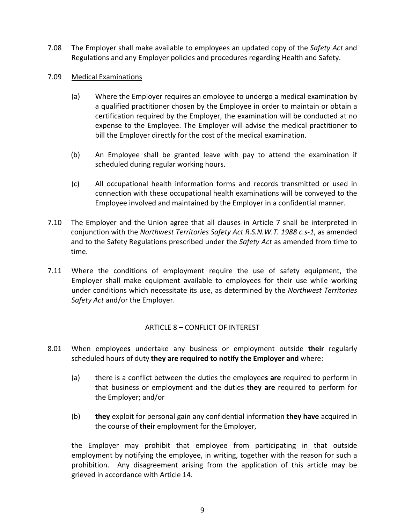- 7.08 The Employer shall make available to employees an updated copy of the *Safety Act* and Regulations and any Employer policies and procedures regarding Health and Safety.
- 7.09 Medical Examinations
	- (a) Where the Employer requires an employee to undergo a medical examination by a qualified practitioner chosen by the Employee in order to maintain or obtain a certification required by the Employer, the examination will be conducted at no expense to the Employee. The Employer will advise the medical practitioner to bill the Employer directly for the cost of the medical examination.
	- (b) An Employee shall be granted leave with pay to attend the examination if scheduled during regular working hours.
	- (c) All occupational health information forms and records transmitted or used in connection with these occupational health examinations will be conveyed to the Employee involved and maintained by the Employer in a confidential manner.
- 7.10 The Employer and the Union agree that all clauses in Article 7 shall be interpreted in conjunction with the *Northwest Territories Safety Act R.S.N.W.T. 1988 c.s-1*, as amended and to the Safety Regulations prescribed under the *Safety Act* as amended from time to time.
- 7.11 Where the conditions of employment require the use of safety equipment, the Employer shall make equipment available to employees for their use while working under conditions which necessitate its use, as determined by the *Northwest Territories Safety Act* and/or the Employer.

#### ARTICLE 8 – CONFLICT OF INTEREST

- 8.01 When employee**s** undertake any business or employment outside **their** regularly scheduled hours of duty **they are required to notify the Employer and** where:
	- (a) there is a conflict between the duties the employee**s are** required to perform in that business or employment and the duties **they are** required to perform for the Employer; and/or
	- (b) **they** exploit for personal gain any confidential information **they have** acquired in the course of **their** employment for the Employer,

the Employer may prohibit that employee from participating in that outside employment by notifying the employee, in writing, together with the reason for such a prohibition. Any disagreement arising from the application of this article may be grieved in accordance with Article 14.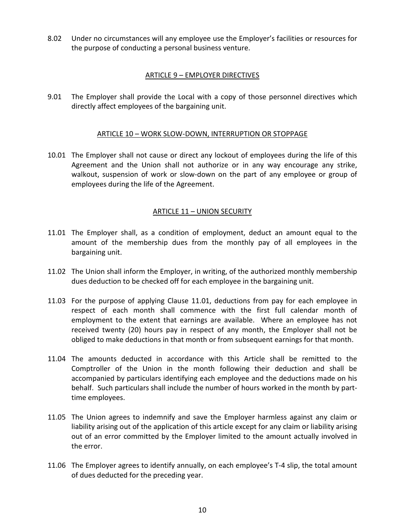8.02 Under no circumstances will any employee use the Employer's facilities or resources for the purpose of conducting a personal business venture.

#### ARTICLE 9 – EMPLOYER DIRECTIVES

9.01 The Employer shall provide the Local with a copy of those personnel directives which directly affect employees of the bargaining unit.

#### ARTICLE 10 – WORK SLOW-DOWN, INTERRUPTION OR STOPPAGE

10.01 The Employer shall not cause or direct any lockout of employees during the life of this Agreement and the Union shall not authorize or in any way encourage any strike, walkout, suspension of work or slow-down on the part of any employee or group of employees during the life of the Agreement.

#### ARTICLE 11 – UNION SECURITY

- 11.01 The Employer shall, as a condition of employment, deduct an amount equal to the amount of the membership dues from the monthly pay of all employees in the bargaining unit.
- 11.02 The Union shall inform the Employer, in writing, of the authorized monthly membership dues deduction to be checked off for each employee in the bargaining unit.
- 11.03 For the purpose of applying Clause 11.01, deductions from pay for each employee in respect of each month shall commence with the first full calendar month of employment to the extent that earnings are available. Where an employee has not received twenty (20) hours pay in respect of any month, the Employer shall not be obliged to make deductions in that month or from subsequent earnings for that month.
- 11.04 The amounts deducted in accordance with this Article shall be remitted to the Comptroller of the Union in the month following their deduction and shall be accompanied by particulars identifying each employee and the deductions made on his behalf. Such particulars shall include the number of hours worked in the month by parttime employees.
- 11.05 The Union agrees to indemnify and save the Employer harmless against any claim or liability arising out of the application of this article except for any claim or liability arising out of an error committed by the Employer limited to the amount actually involved in the error.
- 11.06 The Employer agrees to identify annually, on each employee's T-4 slip, the total amount of dues deducted for the preceding year.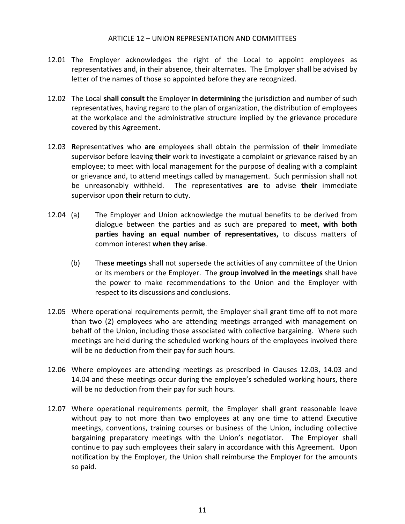#### ARTICLE 12 – UNION REPRESENTATION AND COMMITTEES

- 12.01 The Employer acknowledges the right of the Local to appoint employees as representatives and, in their absence, their alternates. The Employer shall be advised by letter of the names of those so appointed before they are recognized.
- 12.02 The Local **shall consult** the Employer **in determining** the jurisdiction and number of such representatives, having regard to the plan of organization, the distribution of employees at the workplace and the administrative structure implied by the grievance procedure covered by this Agreement.
- 12.03 **R**epresentative**s** who **are** employee**s** shall obtain the permission of **their** immediate supervisor before leaving **their** work to investigate a complaint or grievance raised by an employee; to meet with local management for the purpose of dealing with a complaint or grievance and, to attend meetings called by management. Such permission shall not be unreasonably withheld. The representative**s are** to advise **their** immediate supervisor upon **their** return to duty.
- 12.04 (a) The Employer and Union acknowledge the mutual benefits to be derived from dialogue between the parties and as such are prepared to **meet, with both parties having an equal number of representatives,** to discuss matters of common interest **when they arise**.
	- (b) Th**ese meetings** shall not supersede the activities of any committee of the Union or its members or the Employer. The **group involved in the meetings** shall have the power to make recommendations to the Union and the Employer with respect to its discussions and conclusions.
- 12.05 Where operational requirements permit, the Employer shall grant time off to not more than two (2) employees who are attending meetings arranged with management on behalf of the Union, including those associated with collective bargaining. Where such meetings are held during the scheduled working hours of the employees involved there will be no deduction from their pay for such hours.
- 12.06 Where employees are attending meetings as prescribed in Clauses 12.03, 14.03 and 14.04 and these meetings occur during the employee's scheduled working hours, there will be no deduction from their pay for such hours.
- 12.07 Where operational requirements permit, the Employer shall grant reasonable leave without pay to not more than two employees at any one time to attend Executive meetings, conventions, training courses or business of the Union, including collective bargaining preparatory meetings with the Union's negotiator. The Employer shall continue to pay such employees their salary in accordance with this Agreement. Upon notification by the Employer, the Union shall reimburse the Employer for the amounts so paid.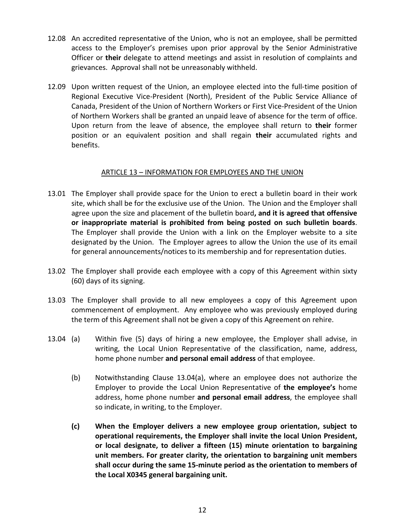- 12.08 An accredited representative of the Union, who is not an employee, shall be permitted access to the Employer's premises upon prior approval by the Senior Administrative Officer or **their** delegate to attend meetings and assist in resolution of complaints and grievances. Approval shall not be unreasonably withheld.
- 12.09 Upon written request of the Union, an employee elected into the full-time position of Regional Executive Vice-President (North), President of the Public Service Alliance of Canada, President of the Union of Northern Workers or First Vice-President of the Union of Northern Workers shall be granted an unpaid leave of absence for the term of office. Upon return from the leave of absence, the employee shall return to **their** former position or an equivalent position and shall regain **their** accumulated rights and benefits.

#### ARTICLE 13 – INFORMATION FOR EMPLOYEES AND THE UNION

- 13.01 The Employer shall provide space for the Union to erect a bulletin board in their work site, which shall be for the exclusive use of the Union. The Union and the Employer shall agree upon the size and placement of the bulletin board**, and it is agreed that offensive or inappropriate material is prohibited from being posted on such bulletin boards**. The Employer shall provide the Union with a link on the Employer website to a site designated by the Union. The Employer agrees to allow the Union the use of its email for general announcements/notices to its membership and for representation duties.
- 13.02 The Employer shall provide each employee with a copy of this Agreement within sixty (60) days of its signing.
- 13.03 The Employer shall provide to all new employees a copy of this Agreement upon commencement of employment. Any employee who was previously employed during the term of this Agreement shall not be given a copy of this Agreement on rehire.
- 13.04 (a) Within five (5) days of hiring a new employee, the Employer shall advise, in writing, the Local Union Representative of the classification, name, address, home phone number **and personal email address** of that employee.
	- (b) Notwithstanding Clause 13.04(a), where an employee does not authorize the Employer to provide the Local Union Representative of **the employee's** home address, home phone number **and personal email address**, the employee shall so indicate, in writing, to the Employer.
	- **(c) When the Employer delivers a new employee group orientation, subject to operational requirements, the Employer shall invite the local Union President, or local designate, to deliver a fifteen (15) minute orientation to bargaining unit members. For greater clarity, the orientation to bargaining unit members shall occur during the same 15-minute period as the orientation to members of the Local X0345 general bargaining unit.**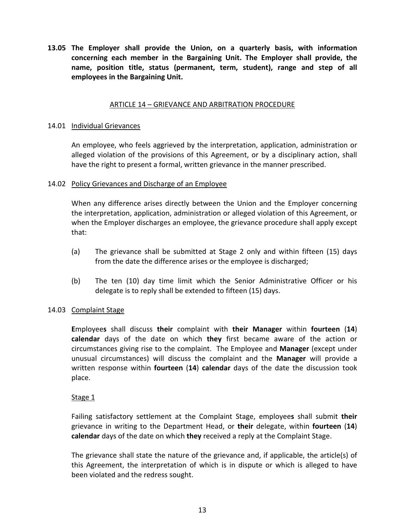**13.05 The Employer shall provide the Union, on a quarterly basis, with information concerning each member in the Bargaining Unit. The Employer shall provide, the name, position title, status (permanent, term, student), range and step of all employees in the Bargaining Unit.**

#### ARTICLE 14 – GRIEVANCE AND ARBITRATION PROCEDURE

#### 14.01 Individual Grievances

An employee, who feels aggrieved by the interpretation, application, administration or alleged violation of the provisions of this Agreement, or by a disciplinary action, shall have the right to present a formal, written grievance in the manner prescribed.

#### 14.02 Policy Grievances and Discharge of an Employee

When any difference arises directly between the Union and the Employer concerning the interpretation, application, administration or alleged violation of this Agreement, or when the Employer discharges an employee, the grievance procedure shall apply except that:

- (a) The grievance shall be submitted at Stage 2 only and within fifteen (15) days from the date the difference arises or the employee is discharged;
- (b) The ten (10) day time limit which the Senior Administrative Officer or his delegate is to reply shall be extended to fifteen (15) days.

#### 14.03 Complaint Stage

**E**mployee**s** shall discuss **their** complaint with **their Manager** within **fourteen** (**14**) **calendar** days of the date on which **they** first became aware of the action or circumstances giving rise to the complaint. The Employee and **Manager** (except under unusual circumstances) will discuss the complaint and the **Manager** will provide a written response within **fourteen** (**14**) **calendar** days of the date the discussion took place.

#### Stage 1

Failing satisfactory settlement at the Complaint Stage, employee**s** shall submit **their**  grievance in writing to the Department Head, or **their** delegate, within **fourteen** (**14**) **calendar** days of the date on which **they** received a reply at the Complaint Stage.

The grievance shall state the nature of the grievance and, if applicable, the article(s) of this Agreement, the interpretation of which is in dispute or which is alleged to have been violated and the redress sought.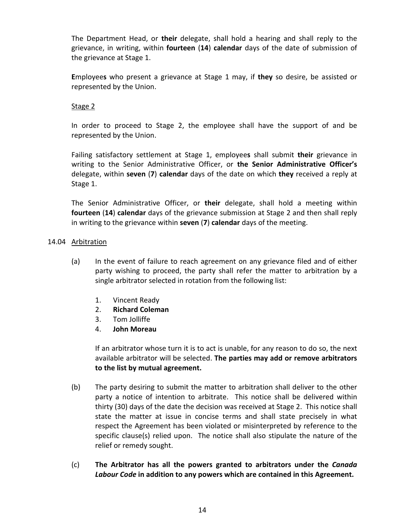The Department Head, or **their** delegate, shall hold a hearing and shall reply to the grievance, in writing, within **fourteen** (**14**) **calendar** days of the date of submission of the grievance at Stage 1.

**E**mployee**s** who present a grievance at Stage 1 may, if **they** so desire, be assisted or represented by the Union.

#### Stage 2

In order to proceed to Stage 2, the employee shall have the support of and be represented by the Union.

Failing satisfactory settlement at Stage 1, employee**s** shall submit **their** grievance in writing to the Senior Administrative Officer, or **the Senior Administrative Officer's** delegate, within **seven** (**7**) **calendar** days of the date on which **they** received a reply at Stage 1.

The Senior Administrative Officer, or **their** delegate, shall hold a meeting within **fourteen** (**14**) **calendar** days of the grievance submission at Stage 2 and then shall reply in writing to the grievance within **seven** (**7**) **calendar** days of the meeting.

#### 14.04 Arbitration

- (a) In the event of failure to reach agreement on any grievance filed and of either party wishing to proceed, the party shall refer the matter to arbitration by a single arbitrator selected in rotation from the following list:
	- 1. Vincent Ready
	- 2. **Richard Coleman**
	- 3. Tom Jolliffe
	- 4. **John Moreau**

If an arbitrator whose turn it is to act is unable, for any reason to do so, the next available arbitrator will be selected. **The parties may add or remove arbitrators to the list by mutual agreement.** 

- (b) The party desiring to submit the matter to arbitration shall deliver to the other party a notice of intention to arbitrate. This notice shall be delivered within thirty (30) days of the date the decision was received at Stage 2. This notice shall state the matter at issue in concise terms and shall state precisely in what respect the Agreement has been violated or misinterpreted by reference to the specific clause(s) relied upon. The notice shall also stipulate the nature of the relief or remedy sought.
- (c) **The Arbitrator has all the powers granted to arbitrators under the** *Canada Labour Code* **in addition to any powers which are contained in this Agreement.**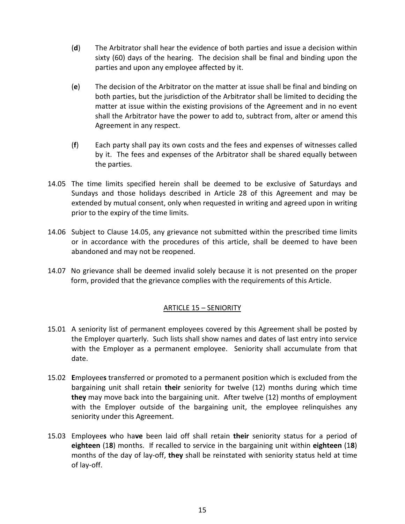- (**d**) The Arbitrator shall hear the evidence of both parties and issue a decision within sixty (60) days of the hearing. The decision shall be final and binding upon the parties and upon any employee affected by it.
- (**e**) The decision of the Arbitrator on the matter at issue shall be final and binding on both parties, but the jurisdiction of the Arbitrator shall be limited to deciding the matter at issue within the existing provisions of the Agreement and in no event shall the Arbitrator have the power to add to, subtract from, alter or amend this Agreement in any respect.
- (**f**) Each party shall pay its own costs and the fees and expenses of witnesses called by it. The fees and expenses of the Arbitrator shall be shared equally between the parties.
- 14.05 The time limits specified herein shall be deemed to be exclusive of Saturdays and Sundays and those holidays described in Article 28 of this Agreement and may be extended by mutual consent, only when requested in writing and agreed upon in writing prior to the expiry of the time limits.
- 14.06 Subject to Clause 14.05, any grievance not submitted within the prescribed time limits or in accordance with the procedures of this article, shall be deemed to have been abandoned and may not be reopened.
- 14.07 No grievance shall be deemed invalid solely because it is not presented on the proper form, provided that the grievance complies with the requirements of this Article.

### ARTICLE 15 – SENIORITY

- 15.01 A seniority list of permanent employees covered by this Agreement shall be posted by the Employer quarterly. Such lists shall show names and dates of last entry into service with the Employer as a permanent employee. Seniority shall accumulate from that date.
- 15.02 **E**mployee**s** transferred or promoted to a permanent position which is excluded from the bargaining unit shall retain **their** seniority for twelve (12) months during which time **they** may move back into the bargaining unit. After twelve (12) months of employment with the Employer outside of the bargaining unit, the employee relinquishes any seniority under this Agreement.
- 15.03 Employee**s** who ha**ve** been laid off shall retain **their** seniority status for a period of **eighteen** (1**8**) months. If recalled to service in the bargaining unit within **eighteen** (1**8**) months of the day of lay-off, **they** shall be reinstated with seniority status held at time of lay-off.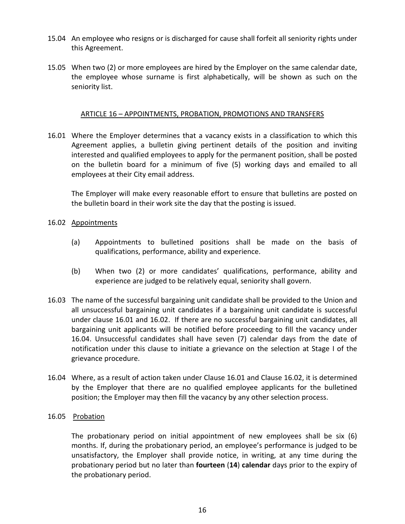- 15.04 An employee who resigns or is discharged for cause shall forfeit all seniority rights under this Agreement.
- 15.05 When two (2) or more employees are hired by the Employer on the same calendar date, the employee whose surname is first alphabetically, will be shown as such on the seniority list.

#### ARTICLE 16 – APPOINTMENTS, PROBATION, PROMOTIONS AND TRANSFERS

16.01 Where the Employer determines that a vacancy exists in a classification to which this Agreement applies, a bulletin giving pertinent details of the position and inviting interested and qualified employees to apply for the permanent position, shall be posted on the bulletin board for a minimum of five (5) working days and emailed to all employees at their City email address.

The Employer will make every reasonable effort to ensure that bulletins are posted on the bulletin board in their work site the day that the posting is issued.

#### 16.02 Appointments

- (a) Appointments to bulletined positions shall be made on the basis of qualifications, performance, ability and experience.
- (b) When two (2) or more candidates' qualifications, performance, ability and experience are judged to be relatively equal, seniority shall govern.
- 16.03 The name of the successful bargaining unit candidate shall be provided to the Union and all unsuccessful bargaining unit candidates if a bargaining unit candidate is successful under clause 16.01 and 16.02. If there are no successful bargaining unit candidates, all bargaining unit applicants will be notified before proceeding to fill the vacancy under 16.04. Unsuccessful candidates shall have seven (7) calendar days from the date of notification under this clause to initiate a grievance on the selection at Stage I of the grievance procedure.
- 16.04 Where, as a result of action taken under Clause 16.01 and Clause 16.02, it is determined by the Employer that there are no qualified employee applicants for the bulletined position; the Employer may then fill the vacancy by any other selection process.

#### 16.05 Probation

The probationary period on initial appointment of new employees shall be six (6) months. If, during the probationary period, an employee's performance is judged to be unsatisfactory, the Employer shall provide notice, in writing, at any time during the probationary period but no later than **fourteen** (**14**) **calendar** days prior to the expiry of the probationary period.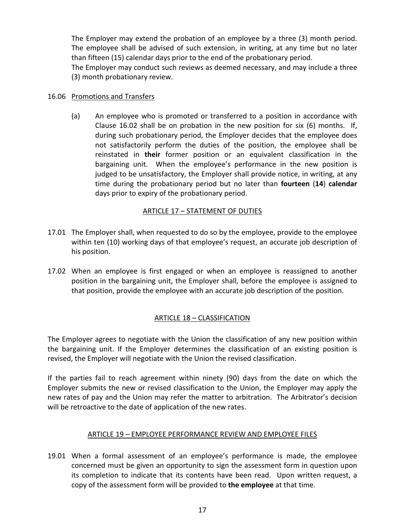The Employer may extend the probation of an employee by a three (3) month period. The employee shall be advised of such extension, in writing, at any time but no later than fifteen (15) calendar days prior to the end of the probationary period.

The Employer may conduct such reviews as deemed necessary, and may include a three (3) month probationary review.

#### 16.06 Promotions and Transfers

(a) An employee who is promoted or transferred to a position in accordance with Clause 16.02 shall be on probation in the new position for six (6) months. If, during such probationary period, the Employer decides that the employee does not satisfactorily perform the duties of the position, the employee shall be reinstated in **their** former position or an equivalent classification in the bargaining unit. When the employee's performance in the new position is judged to be unsatisfactory, the Employer shall provide notice, in writing, at any time during the probationary period but no later than **fourteen** (**14**) **calendar**  days prior to expiry of the probationary period.

#### ARTICLE 17 – STATEMENT OF DUTIES

- 17.01 The Employer shall, when requested to do so by the employee, provide to the employee within ten (10) working days of that employee's request, an accurate job description of his position.
- 17.02 When an employee is first engaged or when an employee is reassigned to another position in the bargaining unit, the Employer shall, before the employee is assigned to that position, provide the employee with an accurate job description of the position.

#### ARTICLE 18 – CLASSIFICATION

The Employer agrees to negotiate with the Union the classification of any new position within the bargaining unit. If the Employer determines the classification of an existing position is revised, the Employer will negotiate with the Union the revised classification.

If the parties fail to reach agreement within ninety (90) days from the date on which the Employer submits the new or revised classification to the Union, the Employer may apply the new rates of pay and the Union may refer the matter to arbitration. The Arbitrator's decision will be retroactive to the date of application of the new rates.

#### ARTICLE 19 – EMPLOYEE PERFORMANCE REVIEW AND EMPLOYEE FILES

19.01 When a formal assessment of an employee's performance is made, the employee concerned must be given an opportunity to sign the assessment form in question upon its completion to indicate that its contents have been read. Upon written request, a copy of the assessment form will be provided to **the employee** at that time.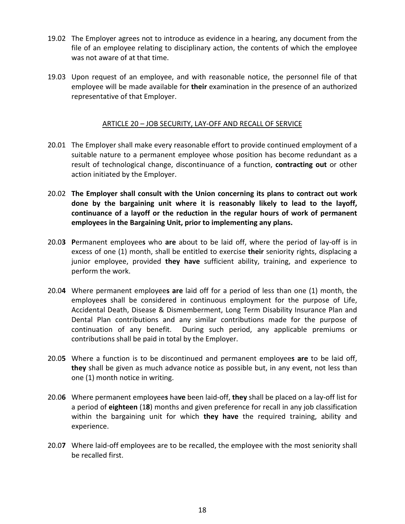- 19.02 The Employer agrees not to introduce as evidence in a hearing, any document from the file of an employee relating to disciplinary action, the contents of which the employee was not aware of at that time.
- 19.03 Upon request of an employee, and with reasonable notice, the personnel file of that employee will be made available for **their** examination in the presence of an authorized representative of that Employer.

#### ARTICLE 20 – JOB SECURITY, LAY-OFF AND RECALL OF SERVICE

- 20.01 The Employer shall make every reasonable effort to provide continued employment of a suitable nature to a permanent employee whose position has become redundant as a result of technological change, discontinuance of a function, **contracting out** or other action initiated by the Employer.
- 20.02 **The Employer shall consult with the Union concerning its plans to contract out work done by the bargaining unit where it is reasonably likely to lead to the layoff, continuance of a layoff or the reduction in the regular hours of work of permanent employees in the Bargaining Unit, prior to implementing any plans.**
- 20.0**3 P**ermanent employee**s** who **are** about to be laid off, where the period of lay-off is in excess of one (1) month, shall be entitled to exercise **their** seniority rights, displacing a junior employee, provided **they have** sufficient ability, training, and experience to perform the work.
- 20.0**4** Where permanent employee**s are** laid off for a period of less than one (1) month, the employee**s** shall be considered in continuous employment for the purpose of Life, Accidental Death, Disease & Dismemberment, Long Term Disability Insurance Plan and Dental Plan contributions and any similar contributions made for the purpose of continuation of any benefit. During such period, any applicable premiums or contributions shall be paid in total by the Employer.
- 20.0**5** Where a function is to be discontinued and permanent employee**s are** to be laid off, **they** shall be given as much advance notice as possible but, in any event, not less than one (1) month notice in writing.
- 20.0**6** Where permanent employee**s** ha**ve** been laid-off, **they** shall be placed on a lay-off list for a period of **eighteen** (1**8**) months and given preference for recall in any job classification within the bargaining unit for which **they have** the required training, ability and experience.
- 20.0**7** Where laid-off employees are to be recalled, the employee with the most seniority shall be recalled first.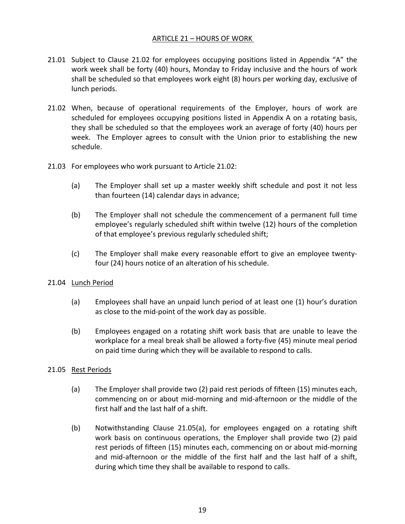#### ARTICLE 21 – HOURS OF WORK

- 21.01 Subject to Clause 21.02 for employees occupying positions listed in Appendix "A" the work week shall be forty (40) hours, Monday to Friday inclusive and the hours of work shall be scheduled so that employees work eight (8) hours per working day, exclusive of lunch periods.
- 21.02 When, because of operational requirements of the Employer, hours of work are scheduled for employees occupying positions listed in Appendix A on a rotating basis, they shall be scheduled so that the employees work an average of forty (40) hours per week. The Employer agrees to consult with the Union prior to establishing the new schedule.
- 21.03 For employees who work pursuant to Article 21.02:
	- (a) The Employer shall set up a master weekly shift schedule and post it not less than fourteen (14) calendar days in advance;
	- (b) The Employer shall not schedule the commencement of a permanent full time employee's regularly scheduled shift within twelve (12) hours of the completion of that employee's previous regularly scheduled shift;
	- (c) The Employer shall make every reasonable effort to give an employee twentyfour (24) hours notice of an alteration of his schedule.

#### 21.04 **Lunch Period**

- (a) Employees shall have an unpaid lunch period of at least one (1) hour's duration as close to the mid-point of the work day as possible.
- (b) Employees engaged on a rotating shift work basis that are unable to leave the workplace for a meal break shall be allowed a forty-five (45) minute meal period on paid time during which they will be available to respond to calls.

#### 21.05 Rest Periods

- (a) The Employer shall provide two (2) paid rest periods of fifteen (15) minutes each, commencing on or about mid-morning and mid-afternoon or the middle of the first half and the last half of a shift.
- (b) Notwithstanding Clause 21.05(a), for employees engaged on a rotating shift work basis on continuous operations, the Employer shall provide two (2) paid rest periods of fifteen (15) minutes each, commencing on or about mid-morning and mid-afternoon or the middle of the first half and the last half of a shift, during which time they shall be available to respond to calls.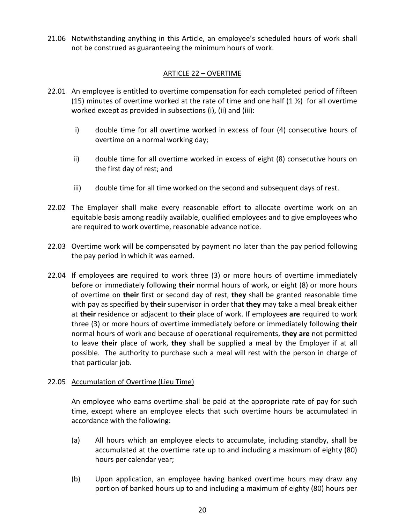21.06 Notwithstanding anything in this Article, an employee's scheduled hours of work shall not be construed as guaranteeing the minimum hours of work.

#### ARTICLE 22 – OVERTIME

- 22.01 An employee is entitled to overtime compensation for each completed period of fifteen (15) minutes of overtime worked at the rate of time and one half  $(1 \frac{1}{2})$  for all overtime worked except as provided in subsections (i), (ii) and (iii):
	- i) double time for all overtime worked in excess of four (4) consecutive hours of overtime on a normal working day;
	- ii) double time for all overtime worked in excess of eight (8) consecutive hours on the first day of rest; and
	- iii) double time for all time worked on the second and subsequent days of rest.
- 22.02 The Employer shall make every reasonable effort to allocate overtime work on an equitable basis among readily available, qualified employees and to give employees who are required to work overtime, reasonable advance notice.
- 22.03 Overtime work will be compensated by payment no later than the pay period following the pay period in which it was earned.
- 22.04 If employee**s are** required to work three (3) or more hours of overtime immediately before or immediately following **their** normal hours of work, or eight (8) or more hours of overtime on **their** first or second day of rest, **they** shall be granted reasonable time with pay as specified by **their** supervisor in order that **they** may take a meal break either at **their** residence or adjacent to **their** place of work. If employee**s are** required to work three (3) or more hours of overtime immediately before or immediately following **their** normal hours of work and because of operational requirements, **they are** not permitted to leave **their** place of work, **they** shall be supplied a meal by the Employer if at all possible. The authority to purchase such a meal will rest with the person in charge of that particular job.

#### 22.05 Accumulation of Overtime (Lieu Time)

An employee who earns overtime shall be paid at the appropriate rate of pay for such time, except where an employee elects that such overtime hours be accumulated in accordance with the following:

- (a) All hours which an employee elects to accumulate, including standby, shall be accumulated at the overtime rate up to and including a maximum of eighty (80) hours per calendar year;
- (b) Upon application, an employee having banked overtime hours may draw any portion of banked hours up to and including a maximum of eighty (80) hours per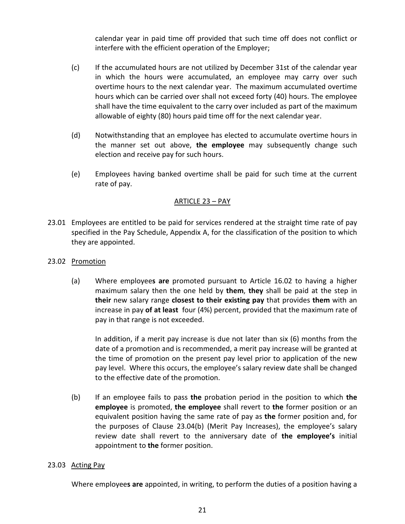calendar year in paid time off provided that such time off does not conflict or interfere with the efficient operation of the Employer;

- (c) If the accumulated hours are not utilized by December 31st of the calendar year in which the hours were accumulated, an employee may carry over such overtime hours to the next calendar year. The maximum accumulated overtime hours which can be carried over shall not exceed forty (40) hours. The employee shall have the time equivalent to the carry over included as part of the maximum allowable of eighty (80) hours paid time off for the next calendar year.
- (d) Notwithstanding that an employee has elected to accumulate overtime hours in the manner set out above, **the employee** may subsequently change such election and receive pay for such hours.
- (e) Employees having banked overtime shall be paid for such time at the current rate of pay.

#### ARTICLE 23 – PAY

- 23.01 Employees are entitled to be paid for services rendered at the straight time rate of pay specified in the Pay Schedule, Appendix A, for the classification of the position to which they are appointed.
- 23.02 Promotion
	- (a) Where employee**s are** promoted pursuant to Article 16.02 to having a higher maximum salary then the one held by **them**, **they** shall be paid at the step in **their** new salary range **closest to their existing pay** that provides **them** with an increase in pay **of at least** four (4%) percent, provided that the maximum rate of pay in that range is not exceeded.

In addition, if a merit pay increase is due not later than six (6) months from the date of a promotion and is recommended, a merit pay increase will be granted at the time of promotion on the present pay level prior to application of the new pay level. Where this occurs, the employee's salary review date shall be changed to the effective date of the promotion.

(b) If an employee fails to pass **the** probation period in the position to which **the employee** is promoted, **the employee** shall revert to **the** former position or an equivalent position having the same rate of pay as **the** former position and, for the purposes of Clause 23.04(b) (Merit Pay Increases), the employee's salary review date shall revert to the anniversary date of **the employee's** initial appointment to **the** former position.

#### 23.03 Acting Pay

Where employee**s are** appointed, in writing, to perform the duties of a position having a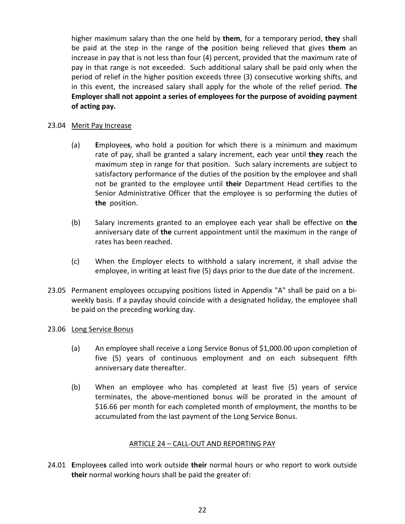higher maximum salary than the one held by **them**, for a temporary period, **they** shall be paid at the step in the range of th**e** position being relieved that gives **them** an increase in pay that is not less than four (4) percent, provided that the maximum rate of pay in that range is not exceeded. Such additional salary shall be paid only when the period of relief in the higher position exceeds three (3) consecutive working shifts, and in this event, the increased salary shall apply for the whole of the relief period. **The Employer shall not appoint a series of employees for the purpose of avoiding payment of acting pay.**

#### 23.04 Merit Pay Increase

- (a) **E**mployee**s**, who hold a position for which there is a minimum and maximum rate of pay, shall be granted a salary increment, each year until **they** reach the maximum step in range for that position. Such salary increments are subject to satisfactory performance of the duties of the position by the employee and shall not be granted to the employee until **their** Department Head certifies to the Senior Administrative Officer that the employee is so performing the duties of **the** position.
- (b) Salary increments granted to an employee each year shall be effective on **the**  anniversary date of **the** current appointment until the maximum in the range of rates has been reached.
- (c) When the Employer elects to withhold a salary increment, it shall advise the employee, in writing at least five (5) days prior to the due date of the increment.
- 23.05 Permanent employees occupying positions listed in Appendix "A" shall be paid on a biweekly basis. If a payday should coincide with a designated holiday, the employee shall be paid on the preceding working day.

#### 23.06 Long Service Bonus

- (a) An employee shall receive a Long Service Bonus of \$1,000.00 upon completion of five (5) years of continuous employment and on each subsequent fifth anniversary date thereafter.
- (b) When an employee who has completed at least five (5) years of service terminates, the above-mentioned bonus will be prorated in the amount of \$16.66 per month for each completed month of employment, the months to be accumulated from the last payment of the Long Service Bonus.

#### ARTICLE 24 – CALL-OUT AND REPORTING PAY

24.01 **E**mployee**s** called into work outside **their** normal hours or who report to work outside **their** normal working hours shall be paid the greater of: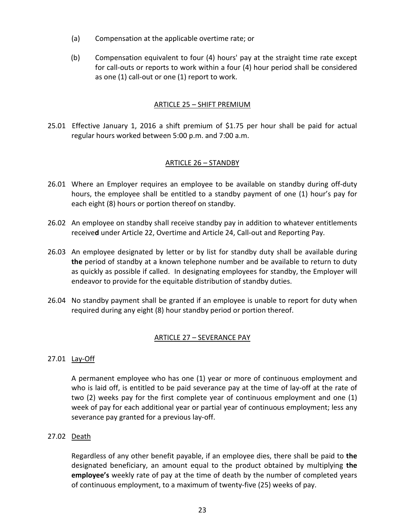- (a) Compensation at the applicable overtime rate; or
- (b) Compensation equivalent to four (4) hours' pay at the straight time rate except for call-outs or reports to work within a four (4) hour period shall be considered as one (1) call-out or one (1) report to work.

#### ARTICLE 25 – SHIFT PREMIUM

25.01 Effective January 1, 2016 a shift premium of \$1.75 per hour shall be paid for actual regular hours worked between 5:00 p.m. and 7:00 a.m.

#### ARTICLE 26 – STANDBY

- 26.01 Where an Employer requires an employee to be available on standby during off-duty hours, the employee shall be entitled to a standby payment of one (1) hour's pay for each eight (8) hours or portion thereof on standby.
- 26.02 An employee on standby shall receive standby pay in addition to whatever entitlements receive**d** under Article 22, Overtime and Article 24, Call-out and Reporting Pay.
- 26.03 An employee designated by letter or by list for standby duty shall be available during **the** period of standby at a known telephone number and be available to return to duty as quickly as possible if called. In designating employees for standby, the Employer will endeavor to provide for the equitable distribution of standby duties.
- 26.04 No standby payment shall be granted if an employee is unable to report for duty when required during any eight (8) hour standby period or portion thereof.

#### ARTICLE 27 – SEVERANCE PAY

#### 27.01 Lay-Off

A permanent employee who has one (1) year or more of continuous employment and who is laid off, is entitled to be paid severance pay at the time of lay-off at the rate of two (2) weeks pay for the first complete year of continuous employment and one (1) week of pay for each additional year or partial year of continuous employment; less any severance pay granted for a previous lay-off.

#### 27.02 Death

Regardless of any other benefit payable, if an employee dies, there shall be paid to **the** designated beneficiary, an amount equal to the product obtained by multiplying **the employee's** weekly rate of pay at the time of death by the number of completed years of continuous employment, to a maximum of twenty-five (25) weeks of pay.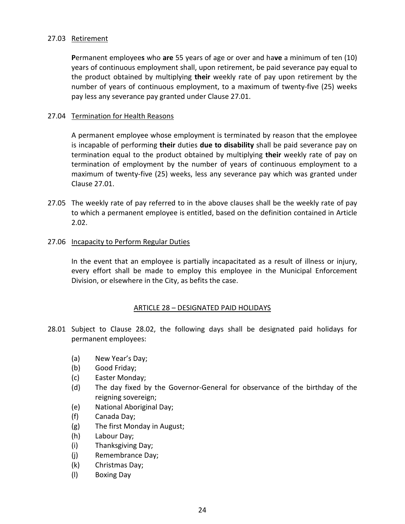#### 27.03 Retirement

**P**ermanent employee**s** who **are** 55 years of age or over and ha**ve** a minimum of ten (10) years of continuous employment shall, upon retirement, be paid severance pay equal to the product obtained by multiplying **their** weekly rate of pay upon retirement by the number of years of continuous employment, to a maximum of twenty-five (25) weeks pay less any severance pay granted under Clause 27.01.

#### 27.04 Termination for Health Reasons

A permanent employee whose employment is terminated by reason that the employee is incapable of performing **their** duties **due to disability** shall be paid severance pay on termination equal to the product obtained by multiplying **their** weekly rate of pay on termination of employment by the number of years of continuous employment to a maximum of twenty-five (25) weeks, less any severance pay which was granted under Clause 27.01.

27.05 The weekly rate of pay referred to in the above clauses shall be the weekly rate of pay to which a permanent employee is entitled, based on the definition contained in Article 2.02.

#### 27.06 Incapacity to Perform Regular Duties

In the event that an employee is partially incapacitated as a result of illness or injury, every effort shall be made to employ this employee in the Municipal Enforcement Division, or elsewhere in the City, as befits the case.

#### ARTICLE 28 – DESIGNATED PAID HOLIDAYS

- 28.01 Subject to Clause 28.02, the following days shall be designated paid holidays for permanent employees:
	- (a) New Year's Day;
	- (b) Good Friday;
	- (c) Easter Monday;
	- (d) The day fixed by the Governor-General for observance of the birthday of the reigning sovereign;
	- (e) National Aboriginal Day;
	- (f) Canada Day;
	- (g) The first Monday in August;
	- (h) Labour Day;
	- (i) Thanksgiving Day;
	- (j) Remembrance Day;
	- (k) Christmas Day;
	- (l) Boxing Day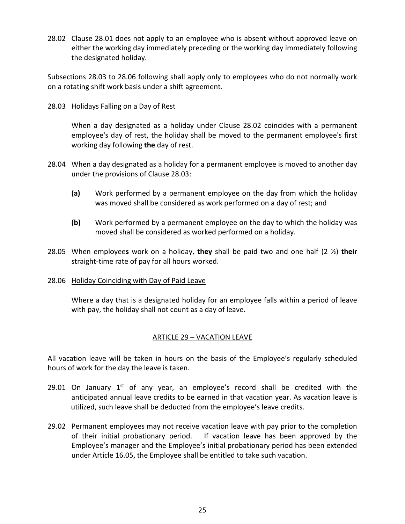28.02 Clause 28.01 does not apply to an employee who is absent without approved leave on either the working day immediately preceding or the working day immediately following the designated holiday.

Subsections 28.03 to 28.06 following shall apply only to employees who do not normally work on a rotating shift work basis under a shift agreement.

#### 28.03 Holidays Falling on a Day of Rest

When a day designated as a holiday under Clause 28.02 coincides with a permanent employee's day of rest, the holiday shall be moved to the permanent employee's first working day following **the** day of rest.

- 28.04 When a day designated as a holiday for a permanent employee is moved to another day under the provisions of Clause 28.03:
	- **(a)** Work performed by a permanent employee on the day from which the holiday was moved shall be considered as work performed on a day of rest; and
	- **(b)** Work performed by a permanent employee on the day to which the holiday was moved shall be considered as worked performed on a holiday.
- 28.05 When employee**s** work on a holiday, **they** shall be paid two and one half (2 ½) **their**  straight-time rate of pay for all hours worked.

#### 28.06 Holiday Coinciding with Day of Paid Leave

Where a day that is a designated holiday for an employee falls within a period of leave with pay, the holiday shall not count as a day of leave.

#### ARTICLE 29 – VACATION LEAVE

All vacation leave will be taken in hours on the basis of the Employee's regularly scheduled hours of work for the day the leave is taken.

- 29.01 On January  $1<sup>st</sup>$  of any year, an employee's record shall be credited with the anticipated annual leave credits to be earned in that vacation year. As vacation leave is utilized, such leave shall be deducted from the employee's leave credits.
- 29.02 Permanent employees may not receive vacation leave with pay prior to the completion of their initial probationary period. If vacation leave has been approved by the Employee's manager and the Employee's initial probationary period has been extended under Article 16.05, the Employee shall be entitled to take such vacation.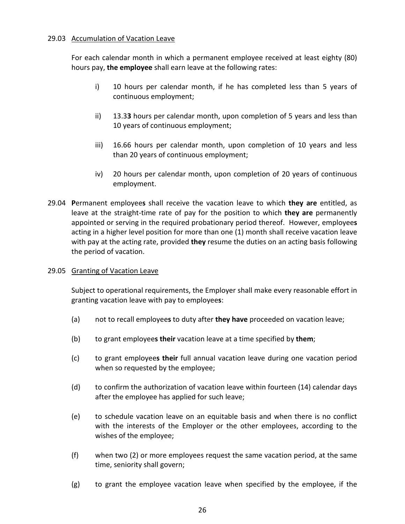#### 29.03 Accumulation of Vacation Leave

For each calendar month in which a permanent employee received at least eighty (80) hours pay, **the employee** shall earn leave at the following rates:

- i) 10 hours per calendar month, if he has completed less than 5 years of continuous employment;
- ii) 13.3**3** hours per calendar month, upon completion of 5 years and less than 10 years of continuous employment;
- iii) 16.66 hours per calendar month, upon completion of 10 years and less than 20 years of continuous employment;
- iv) 20 hours per calendar month, upon completion of 20 years of continuous employment.
- 29.04 **P**ermanent employee**s** shall receive the vacation leave to which **they are** entitled, as leave at the straight-time rate of pay for the position to which **they are** permanently appointed or serving in the required probationary period thereof. However, employee**s** acting in a higher level position for more than one (1) month shall receive vacation leave with pay at the acting rate, provided **they** resume the duties on an acting basis following the period of vacation.

#### 29.05 Granting of Vacation Leave

Subject to operational requirements, the Employer shall make every reasonable effort in granting vacation leave with pay to employee**s**:

- (a) not to recall employee**s** to duty after **they have** proceeded on vacation leave;
- (b) to grant employee**s their** vacation leave at a time specified by **them**;
- (c) to grant employee**s their** full annual vacation leave during one vacation period when so requested by the employee;
- (d) to confirm the authorization of vacation leave within fourteen (14) calendar days after the employee has applied for such leave;
- (e) to schedule vacation leave on an equitable basis and when there is no conflict with the interests of the Employer or the other employees, according to the wishes of the employee;
- (f) when two (2) or more employees request the same vacation period, at the same time, seniority shall govern;
- (g) to grant the employee vacation leave when specified by the employee, if the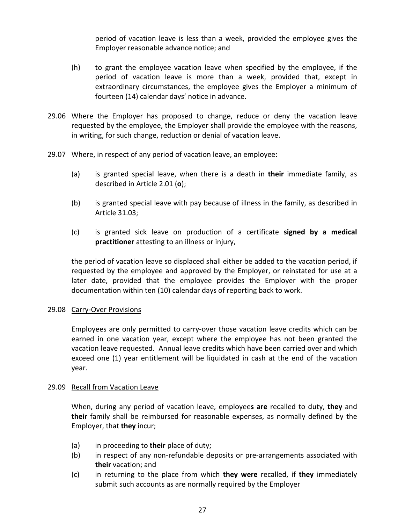period of vacation leave is less than a week, provided the employee gives the Employer reasonable advance notice; and

- (h) to grant the employee vacation leave when specified by the employee, if the period of vacation leave is more than a week, provided that, except in extraordinary circumstances, the employee gives the Employer a minimum of fourteen (14) calendar days' notice in advance.
- 29.06 Where the Employer has proposed to change, reduce or deny the vacation leave requested by the employee, the Employer shall provide the employee with the reasons, in writing, for such change, reduction or denial of vacation leave.
- 29.07 Where, in respect of any period of vacation leave, an employee:
	- (a) is granted special leave, when there is a death in **their** immediate family, as described in Article 2.01 (**o**);
	- (b) is granted special leave with pay because of illness in the family, as described in Article 31.03;
	- (c) is granted sick leave on production of a certificate **signed by a medical practitioner** attesting to an illness or injury,

the period of vacation leave so displaced shall either be added to the vacation period, if requested by the employee and approved by the Employer, or reinstated for use at a later date, provided that the employee provides the Employer with the proper documentation within ten (10) calendar days of reporting back to work.

#### 29.08 Carry-Over Provisions

Employees are only permitted to carry-over those vacation leave credits which can be earned in one vacation year, except where the employee has not been granted the vacation leave requested. Annual leave credits which have been carried over and which exceed one (1) year entitlement will be liquidated in cash at the end of the vacation year.

#### 29.09 Recall from Vacation Leave

When, during any period of vacation leave, employee**s are** recalled to duty, **they** and **their** family shall be reimbursed for reasonable expenses, as normally defined by the Employer, that **they** incur;

- (a) in proceeding to **their** place of duty;
- (b) in respect of any non-refundable deposits or pre-arrangements associated with **their** vacation; and
- (c) in returning to the place from which **they were** recalled, if **they** immediately submit such accounts as are normally required by the Employer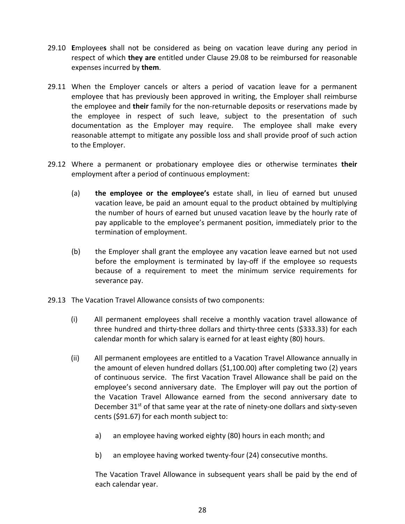- 29.10 **E**mployee**s** shall not be considered as being on vacation leave during any period in respect of which **they are** entitled under Clause 29.08 to be reimbursed for reasonable expenses incurred by **them**.
- 29.11 When the Employer cancels or alters a period of vacation leave for a permanent employee that has previously been approved in writing, the Employer shall reimburse the employee and **their** family for the non-returnable deposits or reservations made by the employee in respect of such leave, subject to the presentation of such documentation as the Employer may require. The employee shall make every reasonable attempt to mitigate any possible loss and shall provide proof of such action to the Employer.
- 29.12 Where a permanent or probationary employee dies or otherwise terminates **their** employment after a period of continuous employment:
	- (a) **the employee or the employee's** estate shall, in lieu of earned but unused vacation leave, be paid an amount equal to the product obtained by multiplying the number of hours of earned but unused vacation leave by the hourly rate of pay applicable to the employee's permanent position, immediately prior to the termination of employment.
	- (b) the Employer shall grant the employee any vacation leave earned but not used before the employment is terminated by lay-off if the employee so requests because of a requirement to meet the minimum service requirements for severance pay.
- 29.13 The Vacation Travel Allowance consists of two components:
	- (i) All permanent employees shall receive a monthly vacation travel allowance of three hundred and thirty-three dollars and thirty-three cents (\$333.33) for each calendar month for which salary is earned for at least eighty (80) hours.
	- (ii) All permanent employees are entitled to a Vacation Travel Allowance annually in the amount of eleven hundred dollars (\$1,100.00) after completing two (2) years of continuous service. The first Vacation Travel Allowance shall be paid on the employee's second anniversary date. The Employer will pay out the portion of the Vacation Travel Allowance earned from the second anniversary date to December 31<sup>st</sup> of that same year at the rate of ninety-one dollars and sixty-seven cents (\$91.67) for each month subject to:
		- a) an employee having worked eighty (80) hours in each month; and
		- b) an employee having worked twenty-four (24) consecutive months.

The Vacation Travel Allowance in subsequent years shall be paid by the end of each calendar year.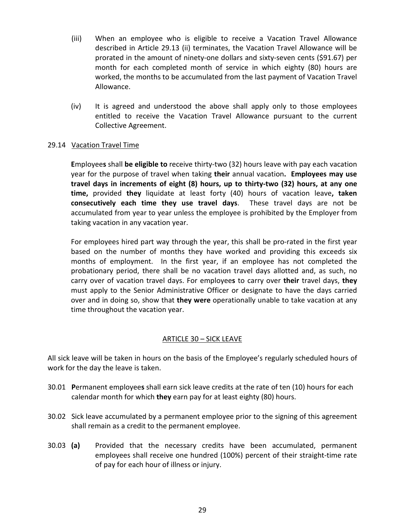- (iii) When an employee who is eligible to receive a Vacation Travel Allowance described in Article 29.13 (ii) terminates, the Vacation Travel Allowance will be prorated in the amount of ninety-one dollars and sixty-seven cents (\$91.67) per month for each completed month of service in which eighty (80) hours are worked, the months to be accumulated from the last payment of Vacation Travel Allowance.
- (iv) It is agreed and understood the above shall apply only to those employees entitled to receive the Vacation Travel Allowance pursuant to the current Collective Agreement.

#### 29.14 Vacation Travel Time

**E**mployee**s** shall **be eligible to** receive thirty-two (32) hours leave with pay each vacation year for the purpose of travel when taking **their** annual vacation**. Employees may use travel days in increments of eight (8) hours, up to thirty-two (32) hours, at any one time,** provided **they** liquidate at least forty (40) hours of vacation leave**, taken consecutively each time they use travel days**. These travel days are not be accumulated from year to year unless the employee is prohibited by the Employer from taking vacation in any vacation year.

For employees hired part way through the year, this shall be pro-rated in the first year based on the number of months they have worked and providing this exceeds six months of employment. In the first year, if an employee has not completed the probationary period, there shall be no vacation travel days allotted and, as such, no carry over of vacation travel days. For employee**s** to carry over **their** travel days, **they**  must apply to the Senior Administrative Officer or designate to have the days carried over and in doing so, show that **they were** operationally unable to take vacation at any time throughout the vacation year.

#### ARTICLE 30 – SICK LEAVE

All sick leave will be taken in hours on the basis of the Employee's regularly scheduled hours of work for the day the leave is taken.

- 30.01 **P**ermanent employee**s** shall earn sick leave credits at the rate of ten (10) hours for each calendar month for which **they** earn pay for at least eighty (80) hours.
- 30.02 Sick leave accumulated by a permanent employee prior to the signing of this agreement shall remain as a credit to the permanent employee.
- 30.03 **(a)** Provided that the necessary credits have been accumulated, permanent employees shall receive one hundred (100%) percent of their straight-time rate of pay for each hour of illness or injury.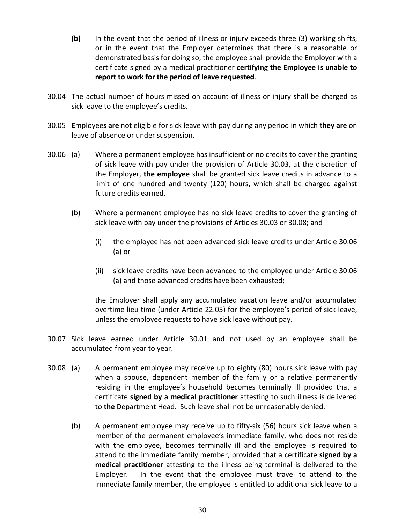- **(b)** In the event that the period of illness or injury exceeds three (3) working shifts, or in the event that the Employer determines that there is a reasonable or demonstrated basis for doing so, the employee shall provide the Employer with a certificate signed by a medical practitioner **certifying the Employee is unable to report to work for the period of leave requested**.
- 30.04 The actual number of hours missed on account of illness or injury shall be charged as sick leave to the employee's credits.
- 30.05 **E**mployee**s are** not eligible for sick leave with pay during any period in which **they are** on leave of absence or under suspension.
- 30.06 (a) Where a permanent employee has insufficient or no credits to cover the granting of sick leave with pay under the provision of Article 30.03, at the discretion of the Employer, **the employee** shall be granted sick leave credits in advance to a limit of one hundred and twenty (120) hours, which shall be charged against future credits earned.
	- (b) Where a permanent employee has no sick leave credits to cover the granting of sick leave with pay under the provisions of Articles 30.03 or 30.08; and
		- (i) the employee has not been advanced sick leave credits under Article 30.06 (a) or
		- (ii) sick leave credits have been advanced to the employee under Article 30.06 (a) and those advanced credits have been exhausted;

the Employer shall apply any accumulated vacation leave and/or accumulated overtime lieu time (under Article 22.05) for the employee's period of sick leave, unless the employee requests to have sick leave without pay.

- 30.07 Sick leave earned under Article 30.01 and not used by an employee shall be accumulated from year to year.
- 30.08 (a) A permanent employee may receive up to eighty (80) hours sick leave with pay when a spouse, dependent member of the family or a relative permanently residing in the employee's household becomes terminally ill provided that a certificate **signed by a medical practitioner** attesting to such illness is delivered to **the** Department Head. Such leave shall not be unreasonably denied.
	- (b) A permanent employee may receive up to fifty-six (56) hours sick leave when a member of the permanent employee's immediate family, who does not reside with the employee, becomes terminally ill and the employee is required to attend to the immediate family member, provided that a certificate **signed by a medical practitioner** attesting to the illness being terminal is delivered to the Employer. In the event that the employee must travel to attend to the immediate family member, the employee is entitled to additional sick leave to a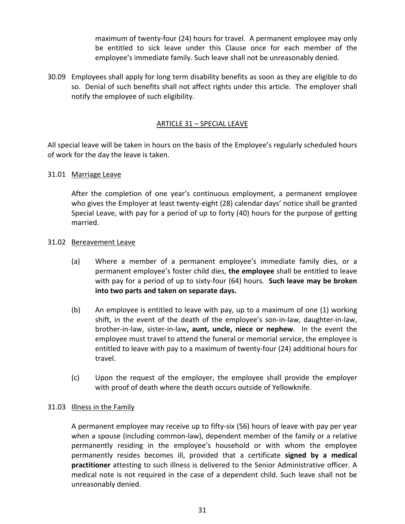maximum of twenty-four (24) hours for travel. A permanent employee may only be entitled to sick leave under this Clause once for each member of the employee's immediate family. Such leave shall not be unreasonably denied.

30.09 Employees shall apply for long term disability benefits as soon as they are eligible to do so. Denial of such benefits shall not affect rights under this article. The employer shall notify the employee of such eligibility.

#### ARTICLE 31 – SPECIAL LEAVE

All special leave will be taken in hours on the basis of the Employee's regularly scheduled hours of work for the day the leave is taken.

#### 31.01 Marriage Leave

After the completion of one year's continuous employment, a permanent employee who gives the Employer at least twenty-eight (28) calendar days' notice shall be granted Special Leave, with pay for a period of up to forty (40) hours for the purpose of getting married.

#### 31.02 Bereavement Leave

- (a) Where a member of a permanent employee's immediate family dies, or a permanent employee's foster child dies, **the employee** shall be entitled to leave with pay for a period of up to sixty-four (64) hours. **Such leave may be broken into two parts and taken on separate days.**
- (b) An employee is entitled to leave with pay, up to a maximum of one (1) working shift, in the event of the death of the employee's son-in-law, daughter-in-law, brother-in-law, sister-in-law**, aunt, uncle, niece or nephew**. In the event the employee must travel to attend the funeral or memorial service, the employee is entitled to leave with pay to a maximum of twenty-four (24) additional hours for travel.
- (c) Upon the request of the employer, the employee shall provide the employer with proof of death where the death occurs outside of Yellowknife.

#### 31.03 Illness in the Family

A permanent employee may receive up to fifty-six (56) hours of leave with pay per year when a spouse (including common-law), dependent member of the family or a relative permanently residing in the employee's household or with whom the employee permanently resides becomes ill, provided that a certificate **signed by a medical practitioner** attesting to such illness is delivered to the Senior Administrative officer. A medical note is not required in the case of a dependent child. Such leave shall not be unreasonably denied.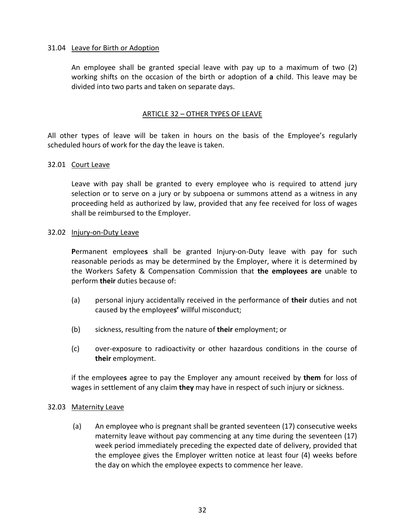#### 31.04 Leave for Birth or Adoption

An employee shall be granted special leave with pay up to a maximum of two (2) working shifts on the occasion of the birth or adoption of **a** child. This leave may be divided into two parts and taken on separate days.

#### ARTICLE 32 – OTHER TYPES OF LEAVE

All other types of leave will be taken in hours on the basis of the Employee's regularly scheduled hours of work for the day the leave is taken.

#### 32.01 Court Leave

Leave with pay shall be granted to every employee who is required to attend jury selection or to serve on a jury or by subpoena or summons attend as a witness in any proceeding held as authorized by law, provided that any fee received for loss of wages shall be reimbursed to the Employer.

#### 32.02 Injury-on-Duty Leave

**P**ermanent employee**s** shall be granted Injury-on-Duty leave with pay for such reasonable periods as may be determined by the Employer, where it is determined by the Workers Safety & Compensation Commission that **the employees are** unable to perform **their** duties because of:

- (a) personal injury accidentally received in the performance of **their** duties and not caused by the employee**s'** willful misconduct;
- (b) sickness, resulting from the nature of **their** employment; or
- (c) over-exposure to radioactivity or other hazardous conditions in the course of **their** employment.

if the employee**s** agree to pay the Employer any amount received by **them** for loss of wages in settlement of any claim **they** may have in respect of such injury or sickness.

#### 32.03 Maternity Leave

(a) An employee who is pregnant shall be granted seventeen (17) consecutive weeks maternity leave without pay commencing at any time during the seventeen (17) week period immediately preceding the expected date of delivery, provided that the employee gives the Employer written notice at least four (4) weeks before the day on which the employee expects to commence her leave.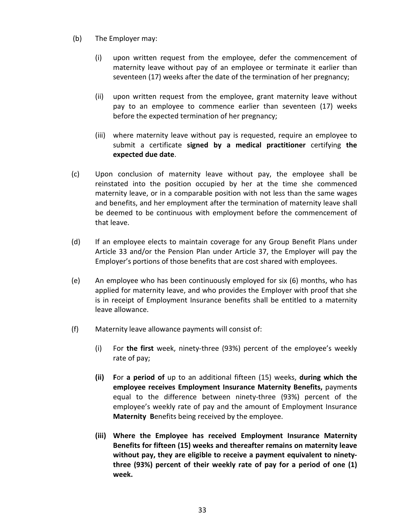- (b) The Employer may:
	- (i) upon written request from the employee, defer the commencement of maternity leave without pay of an employee or terminate it earlier than seventeen (17) weeks after the date of the termination of her pregnancy;
	- (ii) upon written request from the employee, grant maternity leave without pay to an employee to commence earlier than seventeen (17) weeks before the expected termination of her pregnancy;
	- (iii) where maternity leave without pay is requested, require an employee to submit a certificate **signed by a medical practitioner** certifying **the expected due date**.
- (c) Upon conclusion of maternity leave without pay, the employee shall be reinstated into the position occupied by her at the time she commenced maternity leave, or in a comparable position with not less than the same wages and benefits, and her employment after the termination of maternity leave shall be deemed to be continuous with employment before the commencement of that leave.
- (d) If an employee elects to maintain coverage for any Group Benefit Plans under Article 33 and/or the Pension Plan under Article 37, the Employer will pay the Employer's portions of those benefits that are cost shared with employees.
- (e) An employee who has been continuously employed for six (6) months, who has applied for maternity leave, and who provides the Employer with proof that she is in receipt of Employment Insurance benefits shall be entitled to a maternity leave allowance.
- (f) Maternity leave allowance payments will consist of:
	- (i) For **the first** week, ninety-three (93%) percent of the employee's weekly rate of pay;
	- **(ii) F**or **a period of** up to an additional fifteen (15) weeks, **during which the employee receives Employment Insurance Maternity Benefits,** payment**s** equal to the difference between ninety-three (93%) percent of the employee's weekly rate of pay and the amount of Employment Insurance **Maternity B**enefits being received by the employee.
	- **(iii) Where the Employee has received Employment Insurance Maternity Benefits for fifteen (15) weeks and thereafter remains on maternity leave without pay, they are eligible to receive a payment equivalent to ninetythree (93%) percent of their weekly rate of pay for a period of one (1) week.**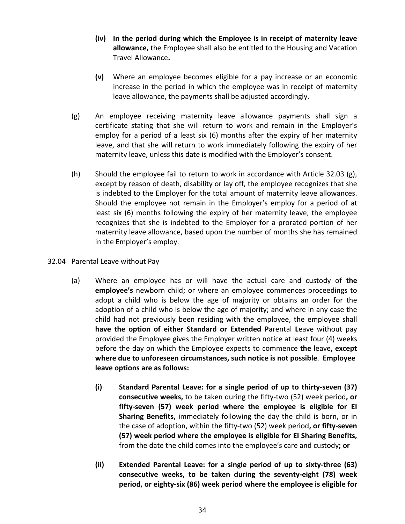- **(iv) In the period during which the Employee is in receipt of maternity leave allowance,** the Employee shall also be entitled to the Housing and Vacation Travel Allowance**.**
- **(v)** Where an employee becomes eligible for a pay increase or an economic increase in the period in which the employee was in receipt of maternity leave allowance, the payments shall be adjusted accordingly.
- (g) An employee receiving maternity leave allowance payments shall sign a certificate stating that she will return to work and remain in the Employer's employ for a period of a least six (6) months after the expiry of her maternity leave, and that she will return to work immediately following the expiry of her maternity leave, unless this date is modified with the Employer's consent.
- (h) Should the employee fail to return to work in accordance with Article 32.03 (g), except by reason of death, disability or lay off, the employee recognizes that she is indebted to the Employer for the total amount of maternity leave allowances. Should the employee not remain in the Employer's employ for a period of at least six (6) months following the expiry of her maternity leave, the employee recognizes that she is indebted to the Employer for a prorated portion of her maternity leave allowance, based upon the number of months she has remained in the Employer's employ.

#### 32.04 Parental Leave without Pay

- (a) Where an employee has or will have the actual care and custody of **the employee's** newborn child; or where an employee commences proceedings to adopt a child who is below the age of majority or obtains an order for the adoption of a child who is below the age of majority; and where in any case the child had not previously been residing with the employee, the employee shall **have the option of either Standard or Extended P**arental **L**eave without pay provided the Employee gives the Employer written notice at least four (4) weeks before the day on which the Employee expects to commence **the** leave**, except where due to unforeseen circumstances, such notice is not possible**. **Employee leave options are as follows:**
	- **(i) Standard Parental Leave: for a single period of up to thirty-seven (37) consecutive weeks,** to be taken during the fifty-two (52) week period**, or fifty-seven (57) week period where the employee is eligible for EI Sharing Benefits,** immediately following the day the child is born, or in the case of adoption, within the fifty-two (52) week period**, or fifty-seven (57) week period where the employee is eligible for EI Sharing Benefits,**  from the date the child comes into the employee's care and custody**; or**
	- **(ii) Extended Parental Leave: for a single period of up to sixty-three (63) consecutive weeks, to be taken during the seventy-eight (78) week period, or eighty-six (86) week period where the employee is eligible for**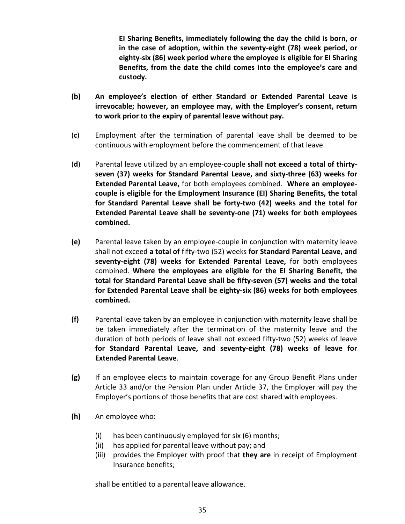**EI Sharing Benefits, immediately following the day the child is born, or in the case of adoption, within the seventy-eight (78) week period, or eighty-six (86) week period where the employee is eligible for EI Sharing Benefits, from the date the child comes into the employee's care and custody.**

- **(b) An employee's election of either Standard or Extended Parental Leave is irrevocable; however, an employee may, with the Employer's consent, return to work prior to the expiry of parental leave without pay.**
- (**c**) Employment after the termination of parental leave shall be deemed to be continuous with employment before the commencement of that leave.
- (**d**) Parental leave utilized by an employee-couple **shall not exceed a total of thirtyseven (37) weeks for Standard Parental Leave, and sixty-three (63) weeks for Extended Parental Leave,** for both employees combined. **Where an employeecouple is eligible for the Employment Insurance (EI) Sharing Benefits, the total for Standard Parental Leave shall be forty-two (42) weeks and the total for Extended Parental Leave shall be seventy-one (71) weeks for both employees combined.**
- **(e)** Parental leave taken by an employee-couple in conjunction with maternity leave shall not exceed **a total of** fifty-two (52) weeks **for Standard Parental Leave, and seventy-eight (78) weeks for Extended Parental Leave,** for both employees combined. **Where the employees are eligible for the EI Sharing Benefit, the total for Standard Parental Leave shall be fifty-seven (57) weeks and the total for Extended Parental Leave shall be eighty-six (86) weeks for both employees combined.**
- **(f)** Parental leave taken by an employee in conjunction with maternity leave shall be be taken immediately after the termination of the maternity leave and the duration of both periods of leave shall not exceed fifty-two (52) weeks of leave **for Standard Parental Leave, and seventy-eight (78) weeks of leave for Extended Parental Leave**.
- **(g)** If an employee elects to maintain coverage for any Group Benefit Plans under Article 33 and/or the Pension Plan under Article 37, the Employer will pay the Employer's portions of those benefits that are cost shared with employees.
- **(h)** An employee who:
	- (i) has been continuously employed for six (6) months;
	- (ii) has applied for parental leave without pay; and
	- (iii) provides the Employer with proof that **they are** in receipt of Employment Insurance benefits;

shall be entitled to a parental leave allowance.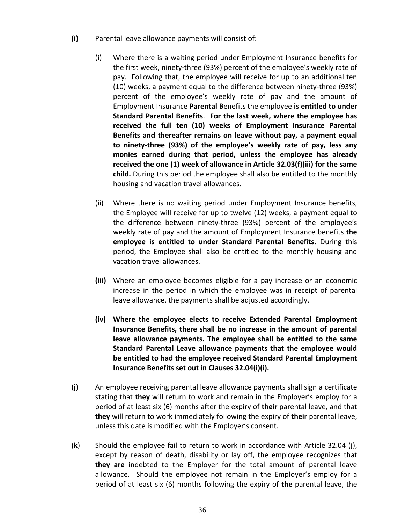- **(i)** Parental leave allowance payments will consist of:
	- (i) Where there is a waiting period under Employment Insurance benefits for the first week, ninety-three (93%) percent of the employee's weekly rate of pay. Following that, the employee will receive for up to an additional ten (10) weeks, a payment equal to the difference between ninety-three (93%) percent of the employee's weekly rate of pay and the amount of Employment Insurance **Parental B**enefits the employee **is entitled to under Standard Parental Benefits**. **For the last week, where the employee has received the full ten (10) weeks of Employment Insurance Parental Benefits and thereafter remains on leave without pay, a payment equal to ninety-three (93%) of the employee's weekly rate of pay, less any monies earned during that period, unless the employee has already received the one (1) week of allowance in Article 32.03(f)(iii) for the same child.** During this period the employee shall also be entitled to the monthly housing and vacation travel allowances.
	- (ii) Where there is no waiting period under Employment Insurance benefits, the Employee will receive for up to twelve (12) weeks, a payment equal to the difference between ninety-three (93%) percent of the employee's weekly rate of pay and the amount of Employment Insurance benefits **the employee is entitled to under Standard Parental Benefits.** During this period, the Employee shall also be entitled to the monthly housing and vacation travel allowances.
	- **(iii)** Where an employee becomes eligible for a pay increase or an economic increase in the period in which the employee was in receipt of parental leave allowance, the payments shall be adjusted accordingly.
	- **(iv) Where the employee elects to receive Extended Parental Employment Insurance Benefits, there shall be no increase in the amount of parental leave allowance payments. The employee shall be entitled to the same Standard Parental Leave allowance payments that the employee would be entitled to had the employee received Standard Parental Employment Insurance Benefits set out in Clauses 32.04(i)(i).**
- (**j**) An employee receiving parental leave allowance payments shall sign a certificate stating that **they** will return to work and remain in the Employer's employ for a period of at least six (6) months after the expiry of **their** parental leave, and that **they** will return to work immediately following the expiry of **their** parental leave, unless this date is modified with the Employer's consent.
- (**k**) Should the employee fail to return to work in accordance with Article 32.04 (**j**), except by reason of death, disability or lay off, the employee recognizes that **they are** indebted to the Employer for the total amount of parental leave allowance. Should the employee not remain in the Employer's employ for a period of at least six (6) months following the expiry of **the** parental leave, the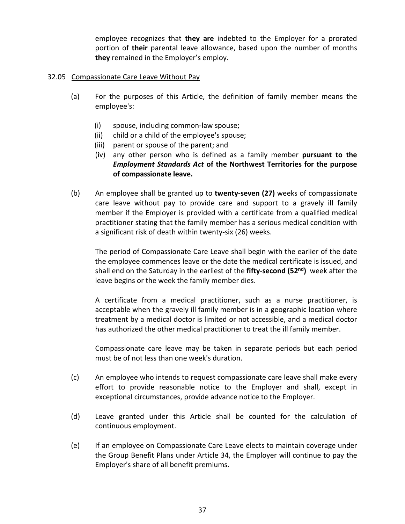employee recognizes that **they are** indebted to the Employer for a prorated portion of **their** parental leave allowance, based upon the number of months **they** remained in the Employer's employ.

#### 32.05 Compassionate Care Leave Without Pay

- (a) For the purposes of this Article, the definition of family member means the employee's:
	- (i) spouse, including common-law spouse;
	- (ii) child or a child of the employee's spouse;
	- (iii) parent or spouse of the parent; and
	- (iv) any other person who is defined as a family member **pursuant to the**  *Employment Standards Act* **of the Northwest Territories for the purpose of compassionate leave.**
- (b) An employee shall be granted up to **twenty-seven (27)** weeks of compassionate care leave without pay to provide care and support to a gravely ill family member if the Employer is provided with a certificate from a qualified medical practitioner stating that the family member has a serious medical condition with a significant risk of death within twenty-six (26) weeks.

The period of Compassionate Care Leave shall begin with the earlier of the date the employee commences leave or the date the medical certificate is issued, and shall end on the Saturday in the earliest of the **fifty-second (52nd)** week after the leave begins or the week the family member dies.

A certificate from a medical practitioner, such as a nurse practitioner, is acceptable when the gravely ill family member is in a geographic location where treatment by a medical doctor is limited or not accessible, and a medical doctor has authorized the other medical practitioner to treat the ill family member.

Compassionate care leave may be taken in separate periods but each period must be of not less than one week's duration.

- (c) An employee who intends to request compassionate care leave shall make every effort to provide reasonable notice to the Employer and shall, except in exceptional circumstances, provide advance notice to the Employer.
- (d) Leave granted under this Article shall be counted for the calculation of continuous employment.
- (e) If an employee on Compassionate Care Leave elects to maintain coverage under the Group Benefit Plans under Article 34, the Employer will continue to pay the Employer's share of all benefit premiums.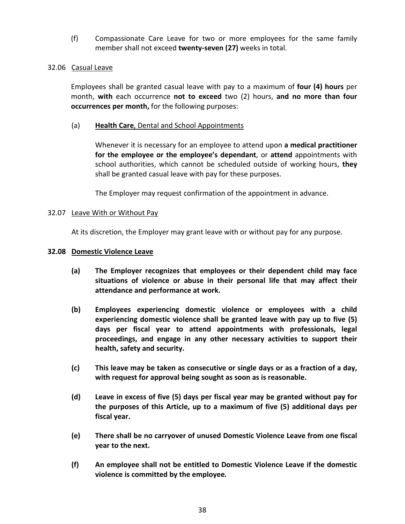(f) Compassionate Care Leave for two or more employees for the same family member shall not exceed **twenty-seven (27)** weeks in total.

#### 32.06 Casual Leave

Employees shall be granted casual leave with pay to a maximum of **four (4) hours** per month, **with** each occurrence **not to exceed** two (2) hours, **and no more than four occurrences per month,** for the following purposes:

#### (a) **Health Care**, Dental and School Appointments

Whenever it is necessary for an employee to attend upon **a medical practitioner for the employee or the employee's dependant**, or **attend** appointments with school authorities, which cannot be scheduled outside of working hours, **they** shall be granted casual leave with pay for these purposes.

The Employer may request confirmation of the appointment in advance.

#### 32.07 Leave With or Without Pay

At its discretion, the Employer may grant leave with or without pay for any purpose.

#### **32.08 Domestic Violence Leave**

- **(a) The Employer recognizes that employees or their dependent child may face situations of violence or abuse in their personal life that may affect their attendance and performance at work.**
- **(b) Employees experiencing domestic violence or employees with a child experiencing domestic violence shall be granted leave with pay up to five (5) days per fiscal year to attend appointments with professionals, legal proceedings, and engage in any other necessary activities to support their health, safety and security.**
- **(c) This leave may be taken as consecutive or single days or as a fraction of a day, with request for approval being sought as soon as is reasonable.**
- **(d) Leave in excess of five (5) days per fiscal year may be granted without pay for the purposes of this Article, up to a maximum of five (5) additional days per fiscal year.**
- **(e) There shall be no carryover of unused Domestic Violence Leave from one fiscal year to the next.**
- **(f) An employee shall not be entitled to Domestic Violence Leave if the domestic violence is committed by the employee***.*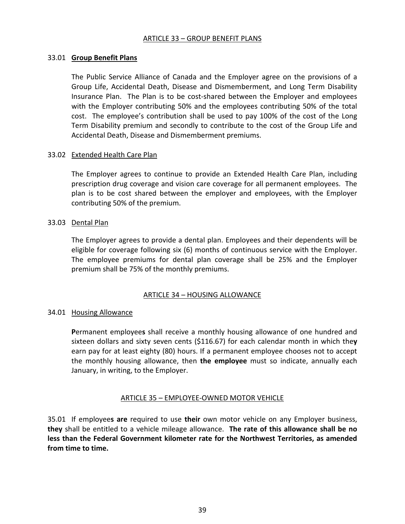#### ARTICLE 33 – GROUP BENEFIT PLANS

#### 33.01 **Group Benefit Plans**

The Public Service Alliance of Canada and the Employer agree on the provisions of a Group Life, Accidental Death, Disease and Dismemberment, and Long Term Disability Insurance Plan. The Plan is to be cost-shared between the Employer and employees with the Employer contributing 50% and the employees contributing 50% of the total cost. The employee's contribution shall be used to pay 100% of the cost of the Long Term Disability premium and secondly to contribute to the cost of the Group Life and Accidental Death, Disease and Dismemberment premiums.

#### 33.02 Extended Health Care Plan

The Employer agrees to continue to provide an Extended Health Care Plan, including prescription drug coverage and vision care coverage for all permanent employees. The plan is to be cost shared between the employer and employees, with the Employer contributing 50% of the premium.

#### 33.03 Dental Plan

The Employer agrees to provide a dental plan. Employees and their dependents will be eligible for coverage following six (6) months of continuous service with the Employer. The employee premiums for dental plan coverage shall be 25% and the Employer premium shall be 75% of the monthly premiums.

#### ARTICLE 34 – HOUSING ALLOWANCE

#### 34.01 Housing Allowance

**P**ermanent employee**s** shall receive a monthly housing allowance of one hundred and sixteen dollars and sixty seven cents (\$116.67) for each calendar month in which the**y** earn pay for at least eighty (80) hours. If a permanent employee chooses not to accept the monthly housing allowance, then **the employee** must so indicate, annually each January, in writing, to the Employer.

#### ARTICLE 35 – EMPLOYEE-OWNED MOTOR VEHICLE

35.01 If employee**s are** required to use **their** own motor vehicle on any Employer business, **they** shall be entitled to a vehicle mileage allowance. **The rate of this allowance shall be no less than the Federal Government kilometer rate for the Northwest Territories, as amended from time to time.**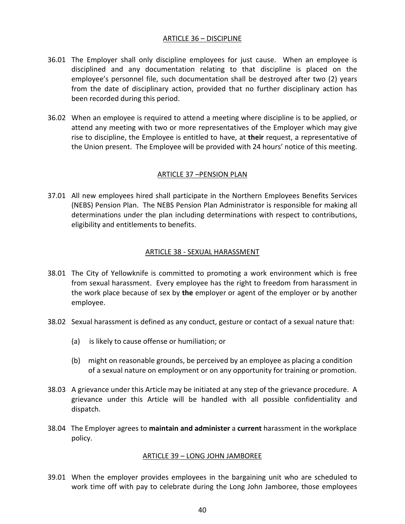#### ARTICLE 36 – DISCIPLINE

- 36.01 The Employer shall only discipline employees for just cause. When an employee is disciplined and any documentation relating to that discipline is placed on the employee's personnel file, such documentation shall be destroyed after two (2) years from the date of disciplinary action, provided that no further disciplinary action has been recorded during this period.
- 36.02 When an employee is required to attend a meeting where discipline is to be applied, or attend any meeting with two or more representatives of the Employer which may give rise to discipline, the Employee is entitled to have, at **their** request, a representative of the Union present. The Employee will be provided with 24 hours' notice of this meeting.

#### ARTICLE 37 –PENSION PLAN

37.01 All new employees hired shall participate in the Northern Employees Benefits Services (NEBS) Pension Plan. The NEBS Pension Plan Administrator is responsible for making all determinations under the plan including determinations with respect to contributions, eligibility and entitlements to benefits.

#### ARTICLE 38 - SEXUAL HARASSMENT

- 38.01 The City of Yellowknife is committed to promoting a work environment which is free from sexual harassment. Every employee has the right to freedom from harassment in the work place because of sex by **the** employer or agent of the employer or by another employee.
- 38.02 Sexual harassment is defined as any conduct, gesture or contact of a sexual nature that:
	- (a) is likely to cause offense or humiliation; or
	- (b) might on reasonable grounds, be perceived by an employee as placing a condition of a sexual nature on employment or on any opportunity for training or promotion.
- 38.03 A grievance under this Article may be initiated at any step of the grievance procedure. A grievance under this Article will be handled with all possible confidentiality and dispatch.
- 38.04 The Employer agrees to **maintain and administer** a **current** harassment in the workplace policy.

#### ARTICLE 39 – LONG JOHN JAMBOREE

39.01 When the employer provides employees in the bargaining unit who are scheduled to work time off with pay to celebrate during the Long John Jamboree, those employees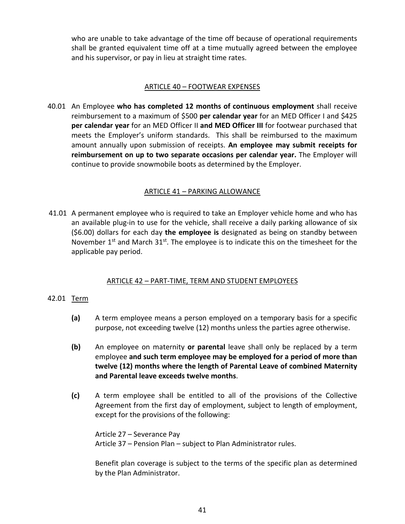who are unable to take advantage of the time off because of operational requirements shall be granted equivalent time off at a time mutually agreed between the employee and his supervisor, or pay in lieu at straight time rates.

#### ARTICLE 40 – FOOTWEAR EXPENSES

40.01 An Employee **who has completed 12 months of continuous employment** shall receive reimbursement to a maximum of \$500 **per calendar year** for an MED Officer I and \$425 **per calendar year** for an MED Officer II **and MED Officer III** for footwear purchased that meets the Employer's uniform standards. This shall be reimbursed to the maximum amount annually upon submission of receipts. **An employee may submit receipts for reimbursement on up to two separate occasions per calendar year.** The Employer will continue to provide snowmobile boots as determined by the Employer.

#### ARTICLE 41 – PARKING ALLOWANCE

41.01 A permanent employee who is required to take an Employer vehicle home and who has an available plug-in to use for the vehicle, shall receive a daily parking allowance of six (\$6.00) dollars for each day **the employee is** designated as being on standby between November  $1<sup>st</sup>$  and March  $31<sup>st</sup>$ . The employee is to indicate this on the timesheet for the applicable pay period.

#### ARTICLE 42 – PART-TIME, TERM AND STUDENT EMPLOYEES

#### 42.01 Term

- **(a)** A term employee means a person employed on a temporary basis for a specific purpose, not exceeding twelve (12) months unless the parties agree otherwise.
- **(b)** An employee on maternity **or parental** leave shall only be replaced by a term employee **and such term employee may be employed for a period of more than twelve (12) months where the length of Parental Leave of combined Maternity and Parental leave exceeds twelve months**.
- **(c)** A term employee shall be entitled to all of the provisions of the Collective Agreement from the first day of employment, subject to length of employment, except for the provisions of the following:

Article 27 – Severance Pay Article 37 – Pension Plan – subject to Plan Administrator rules.

Benefit plan coverage is subject to the terms of the specific plan as determined by the Plan Administrator.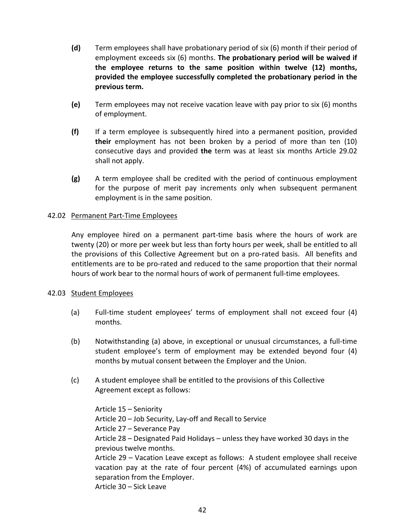- **(d)** Term employees shall have probationary period of six (6) month if their period of employment exceeds six (6) months. **The probationary period will be waived if the employee returns to the same position within twelve (12) months, provided the employee successfully completed the probationary period in the previous term.**
- **(e)** Term employees may not receive vacation leave with pay prior to six (6) months of employment.
- **(f)** If a term employee is subsequently hired into a permanent position, provided **their** employment has not been broken by a period of more than ten (10) consecutive days and provided **the** term was at least six months Article 29.02 shall not apply.
- **(g)** A term employee shall be credited with the period of continuous employment for the purpose of merit pay increments only when subsequent permanent employment is in the same position.

#### 42.02 Permanent Part-Time Employees

Any employee hired on a permanent part-time basis where the hours of work are twenty (20) or more per week but less than forty hours per week, shall be entitled to all the provisions of this Collective Agreement but on a pro-rated basis. All benefits and entitlements are to be pro-rated and reduced to the same proportion that their normal hours of work bear to the normal hours of work of permanent full-time employees.

#### 42.03 Student Employees

- (a) Full-time student employees' terms of employment shall not exceed four (4) months.
- (b) Notwithstanding (a) above, in exceptional or unusual circumstances, a full-time student employee's term of employment may be extended beyond four (4) months by mutual consent between the Employer and the Union.
- (c) A student employee shall be entitled to the provisions of this Collective Agreement except as follows:

Article 15 – Seniority Article 20 – Job Security, Lay-off and Recall to Service Article 27 – Severance Pay Article 28 – Designated Paid Holidays – unless they have worked 30 days in the previous twelve months. Article 29 – Vacation Leave except as follows: A student employee shall receive vacation pay at the rate of four percent (4%) of accumulated earnings upon separation from the Employer.

Article 30 – Sick Leave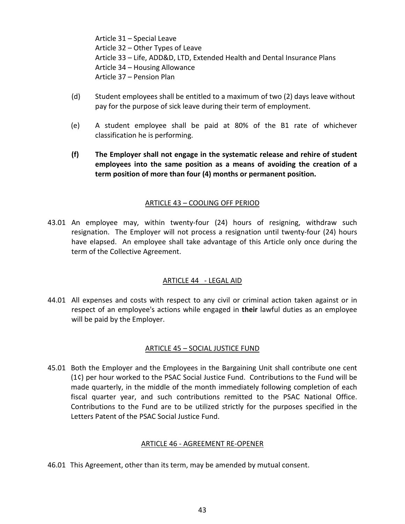Article 31 – Special Leave Article 32 – Other Types of Leave Article 33 – Life, ADD&D, LTD, Extended Health and Dental Insurance Plans Article 34 – Housing Allowance Article 37 – Pension Plan

- (d) Student employees shall be entitled to a maximum of two (2) days leave without pay for the purpose of sick leave during their term of employment.
- (e) A student employee shall be paid at 80% of the B1 rate of whichever classification he is performing.
- **(f) The Employer shall not engage in the systematic release and rehire of student employees into the same position as a means of avoiding the creation of a term position of more than four (4) months or permanent position.**

#### ARTICLE 43 – COOLING OFF PERIOD

43.01 An employee may, within twenty-four (24) hours of resigning, withdraw such resignation. The Employer will not process a resignation until twenty-four (24) hours have elapsed. An employee shall take advantage of this Article only once during the term of the Collective Agreement.

#### ARTICLE 44 - LEGAL AID

44.01 All expenses and costs with respect to any civil or criminal action taken against or in respect of an employee's actions while engaged in **their** lawful duties as an employee will be paid by the Employer.

#### ARTICLE 45 – SOCIAL JUSTICE FUND

45.01 Both the Employer and the Employees in the Bargaining Unit shall contribute one cent (1¢) per hour worked to the PSAC Social Justice Fund. Contributions to the Fund will be made quarterly, in the middle of the month immediately following completion of each fiscal quarter year, and such contributions remitted to the PSAC National Office. Contributions to the Fund are to be utilized strictly for the purposes specified in the Letters Patent of the PSAC Social Justice Fund.

#### ARTICLE 46 - AGREEMENT RE-OPENER

46.01 This Agreement, other than its term, may be amended by mutual consent.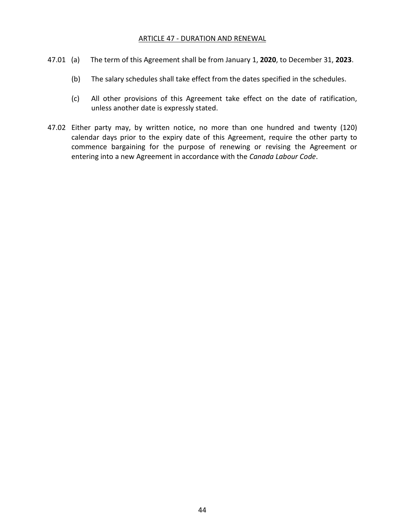#### ARTICLE 47 - DURATION AND RENEWAL

- 47.01 (a) The term of this Agreement shall be from January 1, **2020**, to December 31, **2023**.
	- (b) The salary schedules shall take effect from the dates specified in the schedules.
	- (c) All other provisions of this Agreement take effect on the date of ratification, unless another date is expressly stated.
- 47.02 Either party may, by written notice, no more than one hundred and twenty (120) calendar days prior to the expiry date of this Agreement, require the other party to commence bargaining for the purpose of renewing or revising the Agreement or entering into a new Agreement in accordance with the *Canada Labour Code*.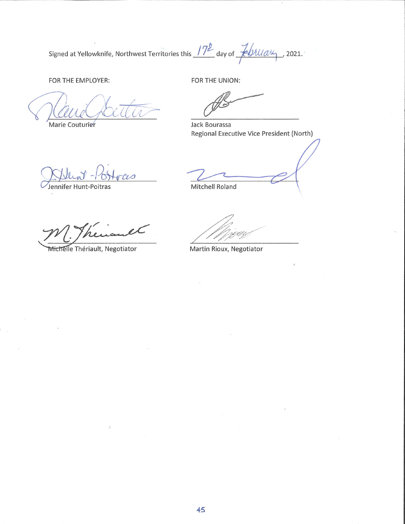Signed at Yellowknife, Northwest Territories this 17<sup>2</sup> day of Followy, 2021.

FOR THE EMPLOYER:

Marie Couturier

FOR THE UNION:

Jack Bourassa Regional Executive Vice President (North)

CLO

Michelle Thériault, Negotiator

et

Jennifer Hunt-Poitras

Mitchell Roland

Martin Rioux, Negotiator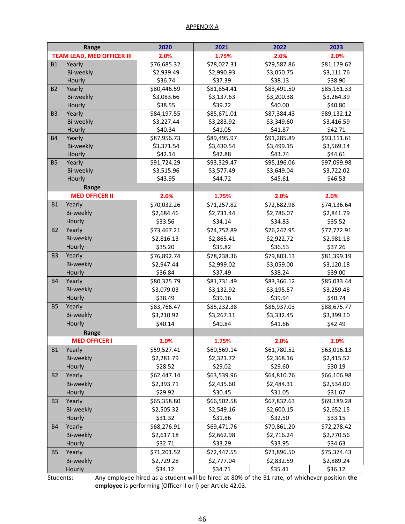#### APPENDIX A

|                                   | Range                 | 2020        | 2021        | 2022        | 2023        |
|-----------------------------------|-----------------------|-------------|-------------|-------------|-------------|
| <b>TEAM LEAD, MED OFFICER III</b> |                       | 2.0%        | 1.75%       | 2.0%        | 2.0%        |
| <b>B1</b>                         | Yearly                | \$76,685.32 | \$78,027.31 | \$79,587.86 | \$81,179.62 |
|                                   | Bi-weekly             | \$2,939.49  | \$2,990.93  | \$3,050.75  | \$3,111.76  |
|                                   | Hourly                | \$36.74     | \$37.39     | \$38.13     | \$38.90     |
| <b>B2</b>                         | Yearly                | \$80,446.59 | \$81,854.41 | \$83,491.50 | \$85,161.33 |
|                                   | Bi-weekly             | \$3,083.66  | \$3,137.63  | \$3,200.38  | \$3,264.39  |
|                                   | Hourly                | \$38.55     | \$39.22     | \$40.00     | \$40.80     |
| B <sub>3</sub>                    | Yearly                | \$84,197.55 | \$85,671.01 | \$87,384.43 | \$89,132.12 |
|                                   | <b>Bi-weekly</b>      | \$3,227.44  | \$3,283.92  | \$3,349.60  | \$3,416.59  |
|                                   | Hourly                | \$40.34     | \$41.05     | \$41.87     | \$42.71     |
| <b>B4</b>                         | Yearly                | \$87,956.73 | \$89,495.97 | \$91,285.89 | \$93,111.61 |
|                                   | Bi-weekly             | \$3,371.54  | \$3,430.54  | \$3,499.15  | \$3,569.14  |
|                                   | Hourly                | \$42.14     | \$42.88     | \$43.74     | \$44.61     |
| <b>B5</b>                         | Yearly                | \$91,724.29 | \$93,329.47 | \$95,196.06 | \$97,099.98 |
|                                   | Bi-weekly             | \$3,515.96  | \$3,577.49  | \$3,649.04  | \$3,722.02  |
|                                   | Hourly                | \$43.95     | \$44.72     | \$45.61     | \$46.53     |
|                                   | Range                 |             |             |             |             |
|                                   | <b>MED OFFICER II</b> | 2.0%        | 1.75%       | 2.0%        | 2.0%        |
| <b>B1</b>                         | Yearly                | \$70,032.26 | \$71,257.82 | \$72,682.98 | \$74,136.64 |
|                                   | Bi-weekly             | \$2,684.46  | \$2,731.44  | \$2,786.07  | \$2,841.79  |
|                                   | Hourly                | \$33.56     | \$34.14     | \$34.83     | \$35.52     |
| <b>B2</b>                         | Yearly                | \$73,467.21 | \$74,752.89 | \$76,247.95 | \$77,772.91 |
|                                   | Bi-weekly             | \$2,816.13  | \$2,865.41  | \$2,922.72  | \$2,981.18  |
|                                   | Hourly                | \$35.20     | \$35.82     | \$36.53     | \$37.26     |
| B <sub>3</sub>                    | Yearly                | \$76,892.74 | \$78,238.36 | \$79,803.13 | \$81,399.19 |
|                                   | Bi-weekly             | \$2,947.44  | \$2,999.02  | \$3,059.00  | \$3,120.18  |
|                                   | Hourly                | \$36.84     | \$37.49     | \$38.24     | \$39.00     |
| <b>B4</b>                         | Yearly                | \$80,325.79 | \$81,731.49 | \$83,366.12 | \$85,033.44 |
|                                   | Bi-weekly             | \$3,079.03  | \$3,132.92  | \$3,195.57  | \$3,259.48  |
|                                   | Hourly                | \$38.49     | \$39.16     | \$39.94     | \$40.74     |
| <b>B5</b>                         | Yearly                | \$83,766.47 | \$85,232.38 | \$86,937.03 | \$88,675.77 |
|                                   | Bi-weekly             | \$3,210.92  | \$3,267.11  | \$3,332.45  | \$3,399.10  |
|                                   | Hourly                | \$40.14     | \$40.84     | \$41.66     | \$42.49     |
|                                   | Range                 |             |             |             |             |
|                                   | <b>MED OFFICER I</b>  | 2.0%        | 1.75%       | 2.0%        | 2.0%        |
| <b>B1</b>                         | Yearly                | \$59,527.41 | \$60,569.14 | \$61,780.52 | \$63,016.13 |
|                                   | Bi-weekly             | \$2,281.79  | \$2,321.72  | \$2,368.16  | \$2,415.52  |
|                                   | Hourly                | \$28.52     | \$29.02     | \$29.60     | \$30.19     |
| <b>B2</b>                         | Yearly                | \$62,447.14 | \$63,539.96 | \$64,810.76 | \$66,106.98 |
|                                   | Bi-weekly             | \$2,393.71  | \$2,435.60  | \$2,484.31  | \$2,534.00  |
|                                   | Hourly                | \$29.92     | \$30.45     | \$31.05     | \$31.67     |
| B <sub>3</sub>                    | Yearly                | \$65,358.80 | \$66,502.58 | \$67,832.63 | \$69,189.28 |
|                                   | Bi-weekly             | \$2,505.32  | \$2,549.16  | \$2,600.15  | \$2,652.15  |
|                                   | Hourly                | \$31.32     | \$31.86     | \$32.50     | \$33.15     |
| <b>B4</b>                         | Yearly                | \$68,276.91 | \$69,471.76 | \$70,861.20 | \$72,278.42 |
|                                   | Bi-weekly             | \$2,617.18  | \$2,662.98  | \$2,716.24  | \$2,770.56  |
|                                   | Hourly                | \$32.71     | \$33.29     | \$33.95     | \$34.63     |
| <b>B5</b>                         | Yearly                | \$71,201.52 | \$72,447.55 | \$73,896.50 | \$75,374.43 |
|                                   | Bi-weekly             | \$2,729.28  | \$2,777.04  | \$2,832.59  | \$2,889.24  |
|                                   | Hourly                | \$34.12     | \$34.71     | \$35.41     | \$36.12     |

Students: Any employee hired as a student will be hired at 80% of the B1 rate, of whichever position **the employee** is performing (Officer II or I) per Article 42.03.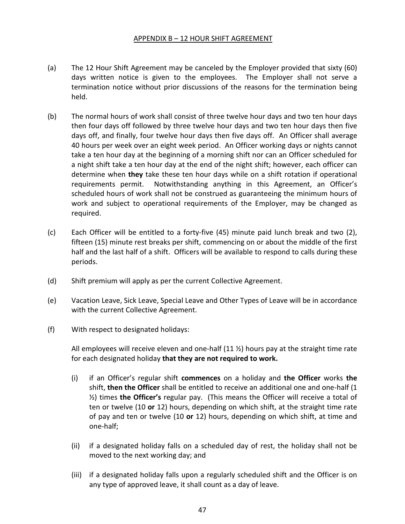#### APPENDIX B – 12 HOUR SHIFT AGREEMENT

- (a) The 12 Hour Shift Agreement may be canceled by the Employer provided that sixty (60) days written notice is given to the employees. The Employer shall not serve a termination notice without prior discussions of the reasons for the termination being held.
- (b) The normal hours of work shall consist of three twelve hour days and two ten hour days then four days off followed by three twelve hour days and two ten hour days then five days off, and finally, four twelve hour days then five days off. An Officer shall average 40 hours per week over an eight week period. An Officer working days or nights cannot take a ten hour day at the beginning of a morning shift nor can an Officer scheduled for a night shift take a ten hour day at the end of the night shift; however, each officer can determine when **they** take these ten hour days while on a shift rotation if operational requirements permit. Notwithstanding anything in this Agreement, an Officer's scheduled hours of work shall not be construed as guaranteeing the minimum hours of work and subject to operational requirements of the Employer, may be changed as required.
- (c) Each Officer will be entitled to a forty-five (45) minute paid lunch break and two (2), fifteen (15) minute rest breaks per shift, commencing on or about the middle of the first half and the last half of a shift. Officers will be available to respond to calls during these periods.
- (d) Shift premium will apply as per the current Collective Agreement.
- (e) Vacation Leave, Sick Leave, Special Leave and Other Types of Leave will be in accordance with the current Collective Agreement.
- (f) With respect to designated holidays:

All employees will receive eleven and one-half  $(11 \frac{1}{2})$  hours pay at the straight time rate for each designated holiday **that they are not required to work.** 

- (i) if an Officer's regular shift **commences** on a holiday and **the Officer** works **the** shift, **then the Officer** shall be entitled to receive an additional one and one-half (1 ½) times **the Officer's** regular pay. (This means the Officer will receive a total of ten or twelve (10 **or** 12) hours, depending on which shift, at the straight time rate of pay and ten or twelve (10 **or** 12) hours, depending on which shift, at time and one-half;
- (ii) if a designated holiday falls on a scheduled day of rest, the holiday shall not be moved to the next working day; and
- (iii) if a designated holiday falls upon a regularly scheduled shift and the Officer is on any type of approved leave, it shall count as a day of leave.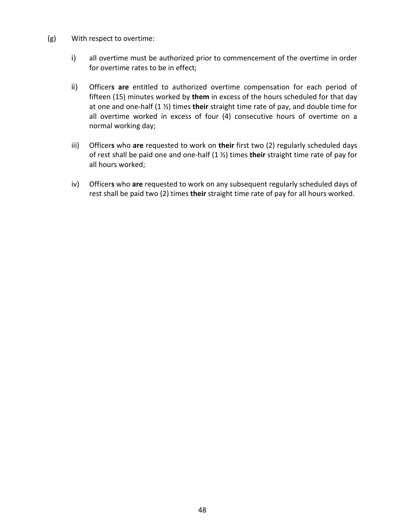- (g) With respect to overtime:
	- i) all overtime must be authorized prior to commencement of the overtime in order for overtime rates to be in effect;
	- ii) Officer**s are** entitled to authorized overtime compensation for each period of fifteen (15) minutes worked by **them** in excess of the hours scheduled for that day at one and one-half (1 ½) times **their** straight time rate of pay, and double time for all overtime worked in excess of four (4) consecutive hours of overtime on a normal working day;
	- iii) Officer**s** who **are** requested to work on **their** first two (2) regularly scheduled days of rest shall be paid one and one-half (1 ½) times **their** straight time rate of pay for all hours worked;
	- iv) Officer**s** who **are** requested to work on any subsequent regularly scheduled days of rest shall be paid two (2) times **their** straight time rate of pay for all hours worked.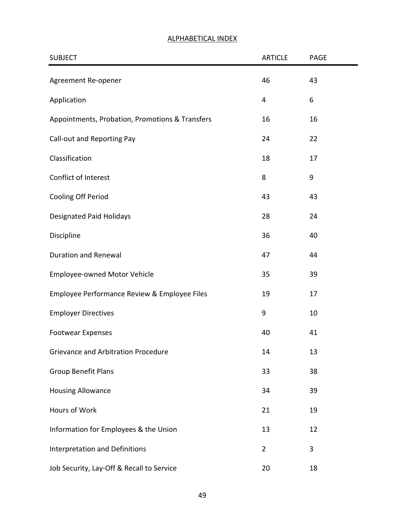# SUBJECT PAGE ARTICLE PAGE Agreement Re-opener 13 and 13 and 13 and 143 Application 6 6 Appointments, Probation, Promotions & Transfers 16 16 16 Call-out and Reporting Pay 22 22 Classification 18 17 Conflict of Interest 8 9 Cooling Off Period 43 43 Designated Paid Holidays 28 24 Discipline 40 Duration and Renewal **47** 44 Employee-owned Motor Vehicle 35 39 Employee Performance Review & Employee Files 19 17 Employer Directives **10** Footwear Expenses 40 41 Grievance and Arbitration Procedure 14 13 Group Benefit Plans 38 38 Housing Allowance 34 39 Hours of Work 21 21 21 21 Information for Employees & the Union 13 12 Interpretation and Definitions **2** 3 Job Security, Lay-Off & Recall to Service 20 20 18

#### ALPHABETICAL INDEX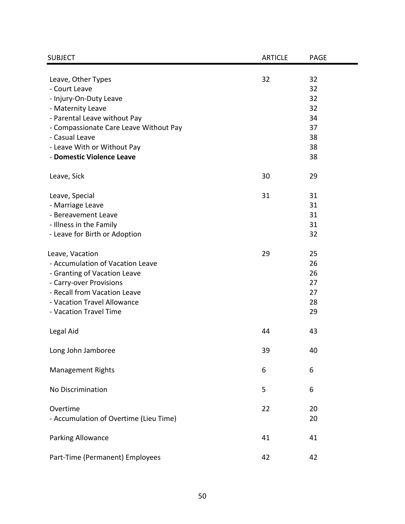| <b>SUBJECT</b>                         | <b>ARTICLE</b> | <b>PAGE</b> |
|----------------------------------------|----------------|-------------|
|                                        | 32             | 32          |
| Leave, Other Types<br>- Court Leave    |                | 32          |
| - Injury-On-Duty Leave                 |                | 32          |
| - Maternity Leave                      |                | 32          |
| - Parental Leave without Pay           |                | 34          |
| - Compassionate Care Leave Without Pay |                | 37          |
| - Casual Leave                         |                | 38          |
| - Leave With or Without Pay            |                | 38          |
| - Domestic Violence Leave              |                | 38          |
| Leave, Sick                            | 30             | 29          |
| Leave, Special                         | 31             | 31          |
| - Marriage Leave                       |                | 31          |
| - Bereavement Leave                    |                | 31          |
| - Illness in the Family                |                | 31          |
| - Leave for Birth or Adoption          |                | 32          |
| Leave, Vacation                        | 29             | 25          |
| - Accumulation of Vacation Leave       |                | 26          |
| - Granting of Vacation Leave           |                | 26          |
| - Carry-over Provisions                |                | 27          |
| - Recall from Vacation Leave           |                | 27          |
| - Vacation Travel Allowance            |                | 28          |
| - Vacation Travel Time                 |                | 29          |
| Legal Aid                              | 44             | 43          |
| Long John Jamboree                     | 39             | 40          |
| <b>Management Rights</b>               | 6              | 6           |
| No Discrimination                      | 5              | 6           |
| Overtime                               | 22             | 20          |
| - Accumulation of Overtime (Lieu Time) |                | 20          |
| Parking Allowance                      | 41             | 41          |
| Part-Time (Permanent) Employees        | 42             | 42          |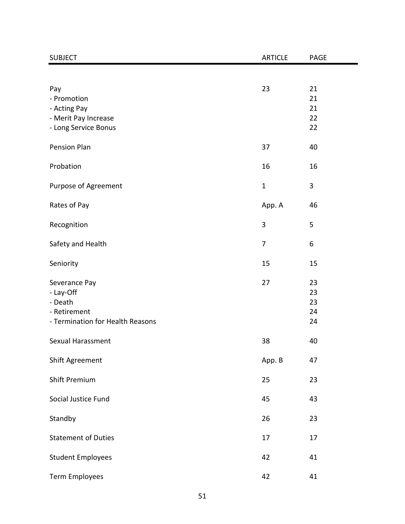| <b>SUBJECT</b>                                                                            | <b>ARTICLE</b> | PAGE                       |
|-------------------------------------------------------------------------------------------|----------------|----------------------------|
|                                                                                           |                |                            |
| Pay<br>- Promotion<br>- Acting Pay<br>- Merit Pay Increase<br>- Long Service Bonus        | 23             | 21<br>21<br>21<br>22<br>22 |
| <b>Pension Plan</b>                                                                       | 37             | 40                         |
| Probation                                                                                 | 16             | 16                         |
| Purpose of Agreement                                                                      | $\mathbf{1}$   | 3                          |
| Rates of Pay                                                                              | App. A         | 46                         |
| Recognition                                                                               | 3              | 5                          |
| Safety and Health                                                                         | $\overline{7}$ | 6                          |
| Seniority                                                                                 | 15             | 15                         |
| Severance Pay<br>- Lay-Off<br>- Death<br>- Retirement<br>- Termination for Health Reasons | 27             | 23<br>23<br>23<br>24<br>24 |
| Sexual Harassment                                                                         | 38             | 40                         |
| Shift Agreement                                                                           | App. B         | 47                         |
| <b>Shift Premium</b>                                                                      | 25             | 23                         |
| Social Justice Fund                                                                       | 45             | 43                         |
| Standby                                                                                   | 26             | 23                         |
| <b>Statement of Duties</b>                                                                | 17             | 17                         |
| <b>Student Employees</b>                                                                  | 42             | 41                         |
| Term Employees                                                                            | 42             | 41                         |